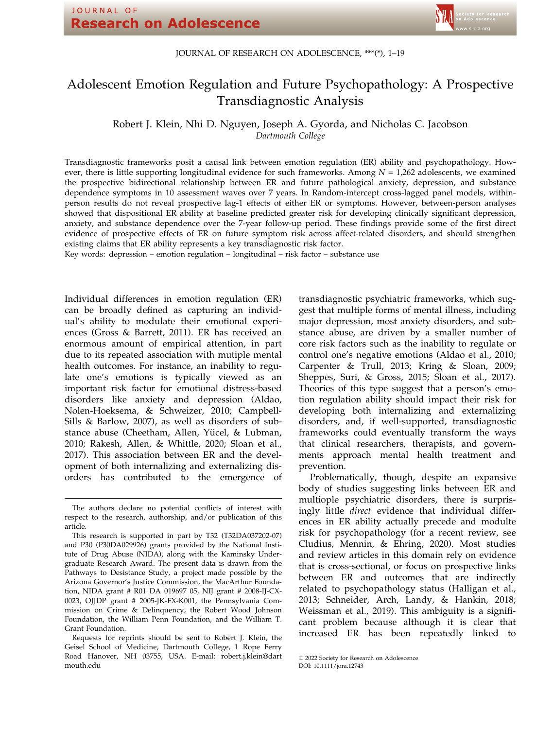# JOURNAL OF RESEARCH ON ADOLESCENCE, \*\*\*(\*), 1–19

# Adolescent Emotion Regulation and Future Psychopathology: A Prospective Transdiagnostic Analysis

Robert J. Klein, Nhi D. Nguyen, Joseph A. Gyorda, and Nicholas C. Jacobson Dartmouth College

Transdiagnostic frameworks posit a causal link between emotion regulation (ER) ability and psychopathology. However, there is little supporting longitudinal evidence for such frameworks. Among  $N = 1,262$  adolescents, we examined the prospective bidirectional relationship between ER and future pathological anxiety, depression, and substance dependence symptoms in 10 assessment waves over 7 years. In Random-intercept cross-lagged panel models, withinperson results do not reveal prospective lag-1 effects of either ER or symptoms. However, between-person analyses showed that dispositional ER ability at baseline predicted greater risk for developing clinically significant depression, anxiety, and substance dependence over the 7-year follow-up period. These findings provide some of the first direct evidence of prospective effects of ER on future symptom risk across affect-related disorders, and should strengthen existing claims that ER ability represents a key transdiagnostic risk factor.

Key words: depression – emotion regulation – longitudinal – risk factor – substance use

Individual differences in emotion regulation (ER) can be broadly defined as capturing an individual's ability to modulate their emotional experiences (Gross & Barrett, 2011). ER has received an enormous amount of empirical attention, in part due to its repeated association with mutiple mental health outcomes. For instance, an inability to regulate one's emotions is typically viewed as an important risk factor for emotional distress-based disorders like anxiety and depression (Aldao, Nolen-Hoeksema, & Schweizer, 2010; Campbell-Sills & Barlow, 2007), as well as disorders of substance abuse (Cheetham, Allen, Yücel, & Lubman, 2010; Rakesh, Allen, & Whittle, 2020; Sloan et al., 2017). This association between ER and the development of both internalizing and externalizing disorders has contributed to the emergence of

transdiagnostic psychiatric frameworks, which suggest that multiple forms of mental illness, including major depression, most anxiety disorders, and substance abuse, are driven by a smaller number of core risk factors such as the inability to regulate or control one's negative emotions (Aldao et al., 2010; Carpenter & Trull, 2013; Kring & Sloan, 2009; Sheppes, Suri, & Gross, 2015; Sloan et al., 2017). Theories of this type suggest that a person's emotion regulation ability should impact their risk for developing both internalizing and externalizing disorders, and, if well-supported, transdiagnostic frameworks could eventually transform the ways that clinical researchers, therapists, and governments approach mental health treatment and prevention.

Problematically, though, despite an expansive body of studies suggesting links between ER and multiople psychiatric disorders, there is surprisingly little direct evidence that individual differences in ER ability actually precede and modulte risk for psychopathology (for a recent review, see Cludius, Mennin, & Ehring, 2020). Most studies and review articles in this domain rely on evidence that is cross-sectional, or focus on prospective links between ER and outcomes that are indirectly related to psychopathology status (Halligan et al., 2013; Schneider, Arch, Landy, & Hankin, 2018; Weissman et al., 2019). This ambiguity is a significant problem because although it is clear that increased ER has been repeatedly linked to

The authors declare no potential conflicts of interest with respect to the research, authorship, and/or publication of this article.

This research is supported in part by T32 (T32DA037202-07) and P30 (P30DA029926) grants provided by the National Institute of Drug Abuse (NIDA), along with the Kaminsky Undergraduate Research Award. The present data is drawn from the Pathways to Desistance Study, a project made possible by the Arizona Governor's Justice Commission, the MacArthur Foundation, NIDA grant # R01 DA 019697 05, NIJ grant # 2008-IJ-CX-0023, OJJDP grant # 2005-JK-FX-K001, the Pennsylvania Commission on Crime & Delinquency, the Robert Wood Johnson Foundation, the William Penn Foundation, and the William T. Grant Foundation.

Requests for reprints should be sent to Robert J. Klein, the Geisel School of Medicine, Dartmouth College, 1 Rope Ferry Road Hanover, NH 03755, USA. E-mail: [robert.j.klein@dart](mailto:) [mouth.edu](mailto:)

<sup>©</sup> 2022 Society for Research on Adolescence DOI: 10.1111/jora.12743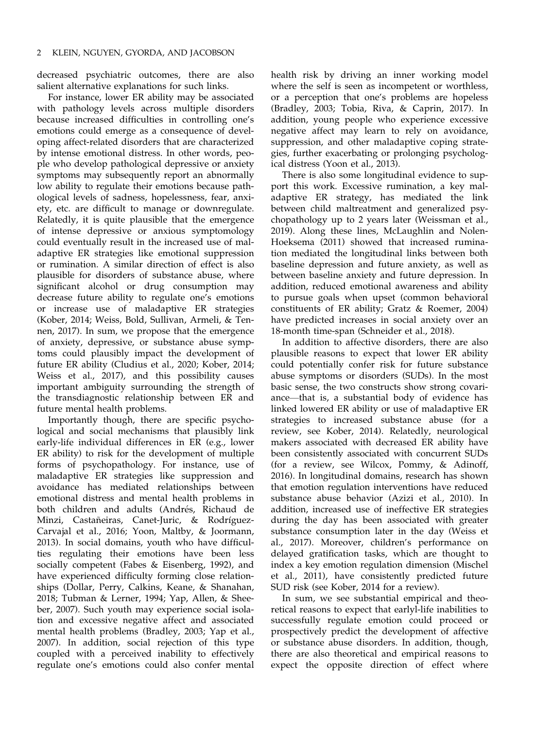decreased psychiatric outcomes, there are also salient alternative explanations for such links.

For instance, lower ER ability may be associated with pathology levels across multiple disorders because increased difficulties in controlling one's emotions could emerge as a consequence of developing affect-related disorders that are characterized by intense emotional distress. In other words, people who develop pathological depressive or anxiety symptoms may subsequently report an abnormally low ability to regulate their emotions because pathological levels of sadness, hopelessness, fear, anxiety, etc. are difficult to manage or downregulate. Relatedly, it is quite plausible that the emergence of intense depressive or anxious symptomology could eventually result in the increased use of maladaptive ER strategies like emotional suppression or rumination. A similar direction of effect is also plausible for disorders of substance abuse, where significant alcohol or drug consumption may decrease future ability to regulate one's emotions or increase use of maladaptive ER strategies (Kober, 2014; Weiss, Bold, Sullivan, Armeli, & Tennen, 2017). In sum, we propose that the emergence of anxiety, depressive, or substance abuse symptoms could plausibly impact the development of future ER ability (Cludius et al., 2020; Kober, 2014; Weiss et al., 2017), and this possibility causes important ambiguity surrounding the strength of the transdiagnostic relationship between ER and future mental health problems.

Importantly though, there are specific psychological and social mechanisms that plausibly link early-life individual differences in ER (e.g., lower ER ability) to risk for the development of multiple forms of psychopathology. For instance, use of maladaptive ER strategies like suppression and avoidance has mediated relationships between emotional distress and mental health problems in both children and adults (Andrés, Richaud de Minzi, Castañeiras, Canet-Juric, & Rodríguez-Carvajal et al., 2016; Yoon, Maltby, & Joormann, 2013). In social domains, youth who have difficulties regulating their emotions have been less socially competent (Fabes & Eisenberg, 1992), and have experienced difficulty forming close relationships (Dollar, Perry, Calkins, Keane, & Shanahan, 2018; Tubman & Lerner, 1994; Yap, Allen, & Sheeber, 2007). Such youth may experience social isolation and excessive negative affect and associated mental health problems (Bradley, 2003; Yap et al., 2007). In addition, social rejection of this type coupled with a perceived inability to effectively regulate one's emotions could also confer mental health risk by driving an inner working model where the self is seen as incompetent or worthless, or a perception that one's problems are hopeless (Bradley, 2003; Tobia, Riva, & Caprin, 2017). In addition, young people who experience excessive negative affect may learn to rely on avoidance, suppression, and other maladaptive coping strategies, further exacerbating or prolonging psychological distress (Yoon et al., 2013).

There is also some longitudinal evidence to support this work. Excessive rumination, a key maladaptive ER strategy, has mediated the link between child maltreatment and generalized psychopathology up to 2 years later (Weissman et al., 2019). Along these lines, McLaughlin and Nolen-Hoeksema (2011) showed that increased rumination mediated the longitudinal links between both baseline depression and future anxiety, as well as between baseline anxiety and future depression. In addition, reduced emotional awareness and ability to pursue goals when upset (common behavioral constituents of ER ability; Gratz & Roemer, 2004) have predicted increases in social anxiety over an 18-month time-span (Schneider et al., 2018).

In addition to affective disorders, there are also plausible reasons to expect that lower ER ability could potentially confer risk for future substance abuse symptoms or disorders (SUDs). In the most basic sense, the two constructs show strong covariance—that is, a substantial body of evidence has linked lowered ER ability or use of maladaptive ER strategies to increased substance abuse (for a review, see Kober, 2014). Relatedly, neurological makers associated with decreased ER ability have been consistently associated with concurrent SUDs (for a review, see Wilcox, Pommy, & Adinoff, 2016). In longitudinal domains, research has shown that emotion regulation interventions have reduced substance abuse behavior (Azizi et al., 2010). In addition, increased use of ineffective ER strategies during the day has been associated with greater substance consumption later in the day (Weiss et al., 2017). Moreover, children's performance on delayed gratification tasks, which are thought to index a key emotion regulation dimension (Mischel et al., 2011), have consistently predicted future SUD risk (see Kober, 2014 for a review).

In sum, we see substantial empirical and theoretical reasons to expect that earlyl-life inabilities to successfully regulate emotion could proceed or prospectively predict the development of affective or substance abuse disorders. In addition, though, there are also theoretical and empirical reasons to expect the opposite direction of effect where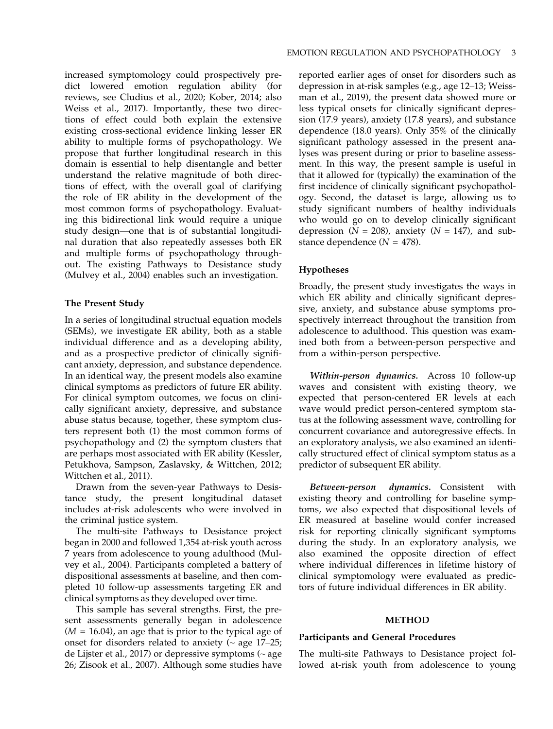increased symptomology could prospectively predict lowered emotion regulation ability (for reviews, see Cludius et al., 2020; Kober, 2014; also Weiss et al., 2017). Importantly, these two directions of effect could both explain the extensive existing cross-sectional evidence linking lesser ER ability to multiple forms of psychopathology. We propose that further longitudinal research in this domain is essential to help disentangle and better understand the relative magnitude of both directions of effect, with the overall goal of clarifying the role of ER ability in the development of the most common forms of psychopathology. Evaluating this bidirectional link would require a unique study design—one that is of substantial longitudinal duration that also repeatedly assesses both ER and multiple forms of psychopathology throughout. The existing Pathways to Desistance study (Mulvey et al., 2004) enables such an investigation.

# The Present Study

In a series of longitudinal structual equation models (SEMs), we investigate ER ability, both as a stable individual difference and as a developing ability, and as a prospective predictor of clinically significant anxiety, depression, and substance dependence. In an identical way, the present models also examine clinical symptoms as predictors of future ER ability. For clinical symptom outcomes, we focus on clinically significant anxiety, depressive, and substance abuse status because, together, these symptom clusters represent both (1) the most common forms of psychopathology and (2) the symptom clusters that are perhaps most associated with ER ability (Kessler, Petukhova, Sampson, Zaslavsky, & Wittchen, 2012; Wittchen et al., 2011).

Drawn from the seven-year Pathways to Desistance study, the present longitudinal dataset includes at-risk adolescents who were involved in the criminal justice system.

The multi-site Pathways to Desistance project began in 2000 and followed 1,354 at-risk youth across 7 years from adolescence to young adulthood (Mulvey et al., 2004). Participants completed a battery of dispositional assessments at baseline, and then completed 10 follow-up assessments targeting ER and clinical symptoms as they developed over time.

This sample has several strengths. First, the present assessments generally began in adolescence  $(M = 16.04)$ , an age that is prior to the typical age of onset for disorders related to anxiety  $($   $\sim$  age 17–25; de Lijster et al., 2017) or depressive symptoms  $($   $\sim$  age 26; Zisook et al., 2007). Although some studies have

reported earlier ages of onset for disorders such as depression in at-risk samples (e.g., age 12–13; Weissman et al., 2019), the present data showed more or less typical onsets for clinically significant depression (17.9 years), anxiety (17.8 years), and substance dependence (18.0 years). Only 35% of the clinically significant pathology assessed in the present analyses was present during or prior to baseline assessment. In this way, the present sample is useful in that it allowed for (typically) the examination of the first incidence of clinically significant psychopathology. Second, the dataset is large, allowing us to study significant numbers of healthy individuals who would go on to develop clinically significant depression ( $N = 208$ ), anxiety ( $N = 147$ ), and substance dependence  $(N = 478)$ .

# Hypotheses

Broadly, the present study investigates the ways in which ER ability and clinically significant depressive, anxiety, and substance abuse symptoms prospectively interreact throughout the transition from adolescence to adulthood. This question was examined both from a between-person perspective and from a within-person perspective.

Within-person dynamics. Across 10 follow-up waves and consistent with existing theory, we expected that person-centered ER levels at each wave would predict person-centered symptom status at the following assessment wave, controlling for concurrent covariance and autoregressive effects. In an exploratory analysis, we also examined an identically structured effect of clinical symptom status as a predictor of subsequent ER ability.

Between-person dynamics. Consistent with existing theory and controlling for baseline symptoms, we also expected that dispositional levels of ER measured at baseline would confer increased risk for reporting clinically significant symptoms during the study. In an exploratory analysis, we also examined the opposite direction of effect where individual differences in lifetime history of clinical symptomology were evaluated as predictors of future individual differences in ER ability.

#### METHOD

#### Participants and General Procedures

The multi-site Pathways to Desistance project followed at-risk youth from adolescence to young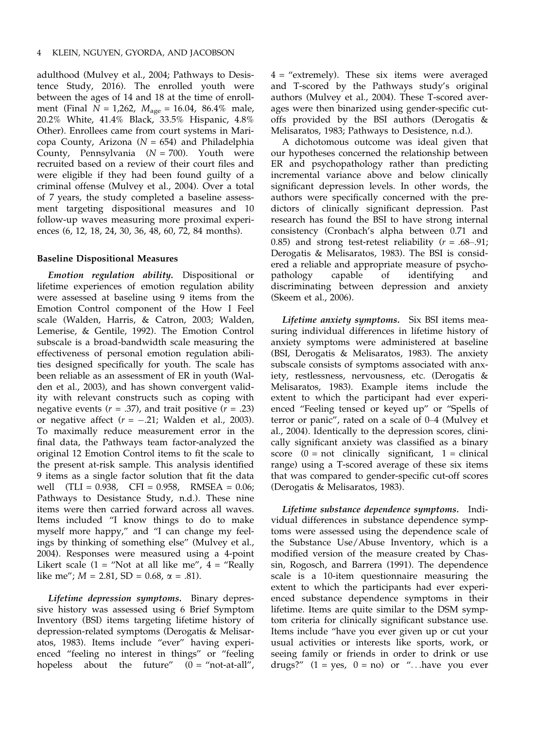adulthood (Mulvey et al., 2004; Pathways to Desistence Study, 2016). The enrolled youth were between the ages of 14 and 18 at the time of enrollment (Final  $N = 1,262$ ,  $M_{\text{age}} = 16.04$ , 86.4% male, 20.2% White, 41.4% Black, 33.5% Hispanic, 4.8% Other). Enrollees came from court systems in Maricopa County, Arizona ( $N = 654$ ) and Philadelphia County, Pennsylvania  $(N = 700)$ . Youth were recruited based on a review of their court files and were eligible if they had been found guilty of a criminal offense (Mulvey et al., 2004). Over a total of 7 years, the study completed a baseline assessment targeting dispositional measures and 10 follow-up waves measuring more proximal experiences (6, 12, 18, 24, 30, 36, 48, 60, 72, 84 months).

### Baseline Dispositional Measures

Emotion regulation ability. Dispositional or lifetime experiences of emotion regulation ability were assessed at baseline using 9 items from the Emotion Control component of the How I Feel scale (Walden, Harris, & Catron, 2003; Walden, Lemerise, & Gentile, 1992). The Emotion Control subscale is a broad-bandwidth scale measuring the effectiveness of personal emotion regulation abilities designed specifically for youth. The scale has been reliable as an assessment of ER in youth (Walden et al., 2003), and has shown convergent validity with relevant constructs such as coping with negative events ( $r = .37$ ), and trait positive ( $r = .23$ ) or negative affect  $(r = -.21)$ ; Walden et al., 2003). To maximally reduce measurement error in the final data, the Pathways team factor-analyzed the original 12 Emotion Control items to fit the scale to the present at-risk sample. This analysis identified 9 items as a single factor solution that fit the data well (TLI = 0.938, CFI = 0.958, RMSEA = 0.06; Pathways to Desistance Study, n.d.). These nine items were then carried forward across all waves. Items included "I know things to do to make myself more happy," and "I can change my feelings by thinking of something else" (Mulvey et al., 2004). Responses were measured using a 4-point Likert scale  $(1 = "Not at all like me", 4 = "Really")$ like me";  $M = 2.81$ , SD = 0.68,  $\alpha = .81$ ).

Lifetime depression symptoms. Binary depressive history was assessed using 6 Brief Symptom Inventory (BSI) items targeting lifetime history of depression-related symptoms (Derogatis & Melisaratos, 1983). Items include "ever" having experienced "feeling no interest in things" or "feeling hopeless about the future"  $(0 = "not-at-all",$ 

4 = "extremely). These six items were averaged and T-scored by the Pathways study's original authors (Mulvey et al., 2004). These T-scored averages were then binarized using gender-specific cutoffs provided by the BSI authors (Derogatis & Melisaratos, 1983; Pathways to Desistence, n.d.).

A dichotomous outcome was ideal given that our hypotheses concerned the relationship between ER and psychopathology rather than predicting incremental variance above and below clinically significant depression levels. In other words, the authors were specifically concerned with the predictors of clinically significant depression. Past research has found the BSI to have strong internal consistency (Cronbach's alpha between 0.71 and 0.85) and strong test-retest reliability  $(r = .68 - .91)$ ; Derogatis & Melisaratos, 1983). The BSI is considered a reliable and appropriate measure of psychopathology capable of identifying and discriminating between depression and anxiety (Skeem et al., 2006).

Lifetime anxiety symptoms. Six BSI items measuring individual differences in lifetime history of anxiety symptoms were administered at baseline (BSI, Derogatis & Melisaratos, 1983). The anxiety subscale consists of symptoms associated with anxiety, restlessness, nervousness, etc. (Derogatis & Melisaratos, 1983). Example items include the extent to which the participant had ever experienced "Feeling tensed or keyed up" or "Spells of terror or panic", rated on a scale of 0–4 (Mulvey et al., 2004). Identically to the depression scores, clinically significant anxiety was classified as a binary score  $(0 = not$  clinically significant,  $1 = clinical$ range) using a T-scored average of these six items that was compared to gender-specific cut-off scores (Derogatis & Melisaratos, 1983).

Lifetime substance dependence symptoms. Individual differences in substance dependence symptoms were assessed using the dependence scale of the Substance Use/Abuse Inventory, which is a modified version of the measure created by Chassin, Rogosch, and Barrera (1991). The dependence scale is a 10-item questionnaire measuring the extent to which the participants had ever experienced substance dependence symptoms in their lifetime. Items are quite similar to the DSM symptom criteria for clinically significant substance use. Items include "have you ever given up or cut your usual activities or interests like sports, work, or seeing family or friends in order to drink or use drugs?"  $(1 = yes, 0 = no)$  or "...have you ever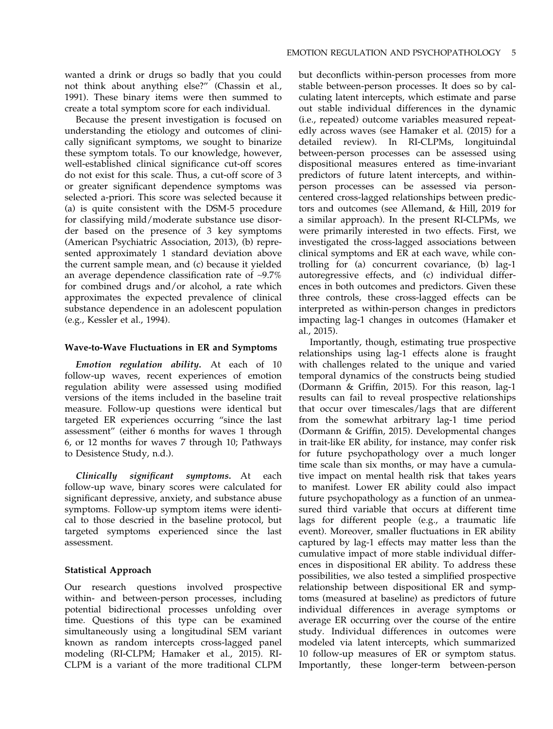wanted a drink or drugs so badly that you could not think about anything else?" (Chassin et al., 1991). These binary items were then summed to create a total symptom score for each individual.

Because the present investigation is focused on understanding the etiology and outcomes of clinically significant symptoms, we sought to binarize these symptom totals. To our knowledge, however, well-established clinical significance cut-off scores do not exist for this scale. Thus, a cut-off score of 3 or greater significant dependence symptoms was selected a-priori. This score was selected because it (a) is quite consistent with the DSM-5 procedure for classifying mild/moderate substance use disorder based on the presence of 3 key symptoms (American Psychiatric Association, 2013), (b) represented approximately 1 standard deviation above the current sample mean, and (c) because it yielded an average dependence classification rate of  $\sim$ 9.7% for combined drugs and/or alcohol, a rate which approximates the expected prevalence of clinical substance dependence in an adolescent population (e.g., Kessler et al., 1994).

#### Wave-to-Wave Fluctuations in ER and Symptoms

Emotion regulation ability. At each of 10 follow-up waves, recent experiences of emotion regulation ability were assessed using modified versions of the items included in the baseline trait measure. Follow-up questions were identical but targeted ER experiences occurring "since the last assessment" (either 6 months for waves 1 through 6, or 12 months for waves 7 through 10; Pathways to Desistence Study, n.d.).

Clinically significant symptoms. At each follow-up wave, binary scores were calculated for significant depressive, anxiety, and substance abuse symptoms. Follow-up symptom items were identical to those descried in the baseline protocol, but targeted symptoms experienced since the last assessment.

# Statistical Approach

Our research questions involved prospective within- and between-person processes, including potential bidirectional processes unfolding over time. Questions of this type can be examined simultaneously using a longitudinal SEM variant known as random intercepts cross-lagged panel modeling (RI-CLPM; Hamaker et al., 2015). RI-CLPM is a variant of the more traditional CLPM

but deconflicts within-person processes from more stable between-person processes. It does so by calculating latent intercepts, which estimate and parse out stable individual differences in the dynamic (i.e., repeated) outcome variables measured repeatedly across waves (see Hamaker et al. (2015) for a detailed review). In RI-CLPMs, longituindal between-person processes can be assessed using dispositional measures entered as time-invariant predictors of future latent intercepts, and withinperson processes can be assessed via personcentered cross-lagged relationships between predictors and outcomes (see Allemand, & Hill, 2019 for a similar approach). In the present RI-CLPMs, we were primarily interested in two effects. First, we investigated the cross-lagged associations between clinical symptoms and ER at each wave, while controlling for (a) concurrent covariance, (b) lag-1 autoregressive effects, and (c) individual differences in both outcomes and predictors. Given these three controls, these cross-lagged effects can be interpreted as within-person changes in predictors impacting lag-1 changes in outcomes (Hamaker et al., 2015).

Importantly, though, estimating true prospective relationships using lag-1 effects alone is fraught with challenges related to the unique and varied temporal dynamics of the constructs being studied (Dormann & Griffin, 2015). For this reason, lag-1 results can fail to reveal prospective relationships that occur over timescales/lags that are different from the somewhat arbitrary lag-1 time period (Dormann & Griffin, 2015). Developmental changes in trait-like ER ability, for instance, may confer risk for future psychopathology over a much longer time scale than six months, or may have a cumulative impact on mental health risk that takes years to manifest. Lower ER ability could also impact future psychopathology as a function of an unmeasured third variable that occurs at different time lags for different people (e.g., a traumatic life event). Moreover, smaller fluctuations in ER ability captured by lag-1 effects may matter less than the cumulative impact of more stable individual differences in dispositional ER ability. To address these possibilities, we also tested a simplified prospective relationship between dispositional ER and symptoms (measured at baseline) as predictors of future individual differences in average symptoms or average ER occurring over the course of the entire study. Individual differences in outcomes were modeled via latent intercepts, which summarized 10 follow-up measures of ER or symptom status. Importantly, these longer-term between-person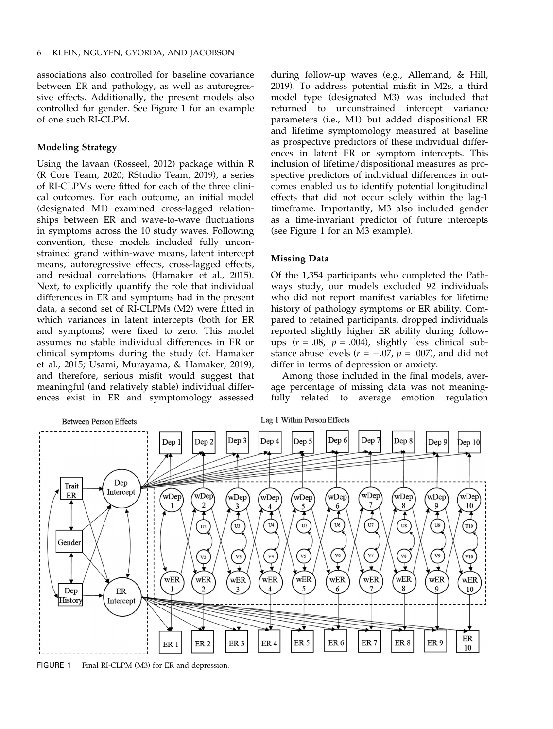associations also controlled for baseline covariance between ER and pathology, as well as autoregressive effects. Additionally, the present models also controlled for gender. See Figure 1 for an example of one such RI-CLPM.

# Modeling Strategy

Using the lavaan (Rosseel, 2012) package within R (R Core Team, 2020; RStudio Team, 2019), a series of RI-CLPMs were fitted for each of the three clinical outcomes. For each outcome, an initial model (designated M1) examined cross-lagged relationships between ER and wave-to-wave fluctuations in symptoms across the 10 study waves. Following convention, these models included fully unconstrained grand within-wave means, latent intercept means, autoregressive effects, cross-lagged effects, and residual correlations (Hamaker et al., 2015). Next, to explicitly quantify the role that individual differences in ER and symptoms had in the present data, a second set of RI-CLPMs (M2) were fitted in which variances in latent intercepts (both for ER and symptoms) were fixed to zero. This model assumes no stable individual differences in ER or clinical symptoms during the study (cf. Hamaker et al., 2015; Usami, Murayama, & Hamaker, 2019), and therefore, serious misfit would suggest that meaningful (and relatively stable) individual differences exist in ER and symptomology assessed

during follow-up waves (e.g., Allemand, & Hill, 2019). To address potential misfit in M2s, a third model type (designated M3) was included that returned to unconstrained intercept variance parameters (i.e., M1) but added dispositional ER and lifetime symptomology measured at baseline as prospective predictors of these individual differences in latent ER or symptom intercepts. This inclusion of lifetime/dispositional measures as prospective predictors of individual differences in outcomes enabled us to identify potential longitudinal effects that did not occur solely within the lag-1 timeframe. Importantly, M3 also included gender as a time-invariant predictor of future intercepts (see Figure 1 for an M3 example).

### Missing Data

Of the 1,354 participants who completed the Pathways study, our models excluded 92 individuals who did not report manifest variables for lifetime history of pathology symptoms or ER ability. Compared to retained participants, dropped individuals reported slightly higher ER ability during followups  $(r = .08, p = .004)$ , slightly less clinical substance abuse levels ( $r = -.07$ ,  $p = .007$ ), and did not differ in terms of depression or anxiety.

Among those included in the final models, average percentage of missing data was not meaningfully related to average emotion regulation



FIGURE 1 Final RI-CLPM (M3) for ER and depression.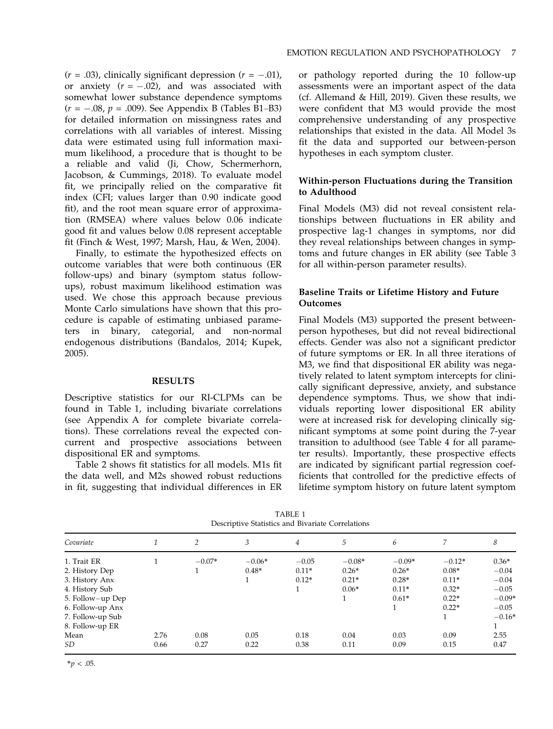$(r = .03)$ , clinically significant depression  $(r = -.01)$ , or anxiety  $(r = -.02)$ , and was associated with somewhat lower substance dependence symptoms  $(r = -.08, p = .009)$ . See Appendix B (Tables B1–B3) for detailed information on missingness rates and correlations with all variables of interest. Missing data were estimated using full information maximum likelihood, a procedure that is thought to be a reliable and valid (Ji, Chow, Schermerhorn, Jacobson, & Cummings, 2018). To evaluate model fit, we principally relied on the comparative fit index (CFI; values larger than 0.90 indicate good fit), and the root mean square error of approximation (RMSEA) where values below 0.06 indicate good fit and values below 0.08 represent acceptable fit (Finch & West, 1997; Marsh, Hau, & Wen, 2004).

Finally, to estimate the hypothesized effects on outcome variables that were both continuous (ER follow-ups) and binary (symptom status followups), robust maximum likelihood estimation was used. We chose this approach because previous Monte Carlo simulations have shown that this procedure is capable of estimating unbiased parameters in binary, categorial, and non-normal endogenous distributions (Bandalos, 2014; Kupek, 2005).

### RESULTS

Descriptive statistics for our RI-CLPMs can be found in Table 1, including bivariate correlations (see Appendix A for complete bivariate correlations). These correlations reveal the expected concurrent and prospective associations between dispositional ER and symptoms.

Table 2 shows fit statistics for all models. M1s fit the data well, and M2s showed robust reductions in fit, suggesting that individual differences in ER or pathology reported during the 10 follow-up assessments were an important aspect of the data (cf. Allemand & Hill, 2019). Given these results, we were confident that M3 would provide the most comprehensive understanding of any prospective relationships that existed in the data. All Model 3s fit the data and supported our between-person hypotheses in each symptom cluster.

# Within-person Fluctuations during the Transition to Adulthood

Final Models (M3) did not reveal consistent relationships between fluctuations in ER ability and prospective lag-1 changes in symptoms, nor did they reveal relationships between changes in symptoms and future changes in ER ability (see Table 3 for all within-person parameter results).

# Baseline Traits or Lifetime History and Future Outcomes

Final Models (M3) supported the present betweenperson hypotheses, but did not reveal bidirectional effects. Gender was also not a significant predictor of future symptoms or ER. In all three iterations of M3, we find that dispositional ER ability was negatively related to latent symptom intercepts for clinically significant depressive, anxiety, and substance dependence symptoms. Thus, we show that individuals reporting lower dispositional ER ability were at increased risk for developing clinically significant symptoms at some point during the 7-year transition to adulthood (see Table 4 for all parameter results). Importantly, these prospective effects are indicated by significant partial regression coefficients that controlled for the predictive effects of lifetime symptom history on future latent symptom

|                  |      |                | Descriptive buildings und Divuriant Correlations |         |          |          |          |          |
|------------------|------|----------------|--------------------------------------------------|---------|----------|----------|----------|----------|
| Covariate        |      | $\overline{2}$ | 3                                                | 4       | 5        | 6        |          | 8        |
| 1. Trait ER      |      | $-0.07*$       | $-0.06*$                                         | $-0.05$ | $-0.08*$ | $-0.09*$ | $-0.12*$ | $0.36*$  |
| 2. History Dep   |      |                | $0.48*$                                          | $0.11*$ | $0.26*$  | $0.26*$  | $0.08*$  | $-0.04$  |
| 3. History Anx   |      |                |                                                  | $0.12*$ | $0.21*$  | $0.28*$  | $0.11*$  | $-0.04$  |
| 4. History Sub   |      |                |                                                  |         | $0.06*$  | $0.11*$  | $0.32*$  | $-0.05$  |
| 5. Follow-up Dep |      |                |                                                  |         |          | $0.61*$  | $0.22*$  | $-0.09*$ |
| 6. Follow-up Anx |      |                |                                                  |         |          |          | $0.22*$  | $-0.05$  |
| 7. Follow-up Sub |      |                |                                                  |         |          |          |          | $-0.16*$ |
| 8. Follow-up ER  |      |                |                                                  |         |          |          |          |          |
| Mean             | 2.76 | 0.08           | 0.05                                             | 0.18    | 0.04     | 0.03     | 0.09     | 2.55     |
| SD.              | 0.66 | 0.27           | 0.22                                             | 0.38    | 0.11     | 0.09     | 0.15     | 0.47     |

TABLE 1 Descriptive Statistics and Bivariate Correlations

 $*<sub>p</sub> < .05$ .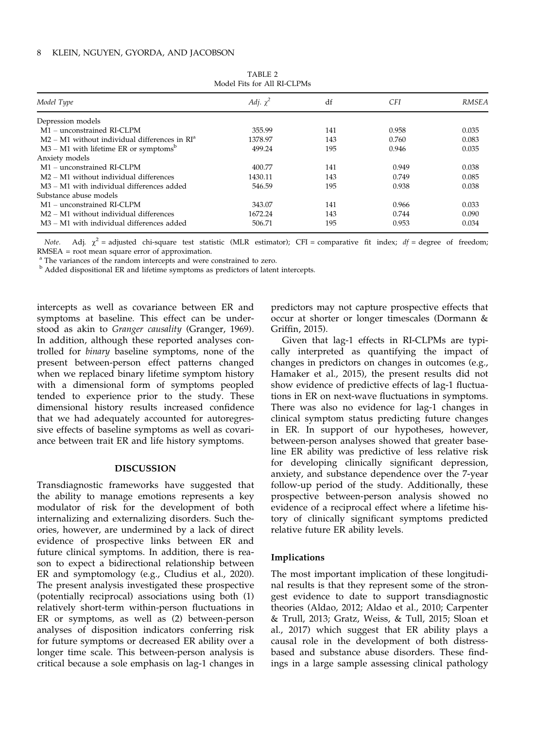| Model Type                                                        | Adj. $\chi^2$ | df  | <i>CFI</i> | <b>RMSEA</b> |
|-------------------------------------------------------------------|---------------|-----|------------|--------------|
| Depression models                                                 |               |     |            |              |
| M <sub>1</sub> – unconstrained RI-CLPM                            | 355.99        | 141 | 0.958      | 0.035        |
| $M2 - M1$ without individual differences in $RIa$                 | 1378.97       | 143 | 0.760      | 0.083        |
| $M3 - M1$ with lifetime ER or symptoms <sup>b</sup>               | 499.24        | 195 | 0.946      | 0.035        |
| Anxiety models                                                    |               |     |            |              |
| M <sub>1</sub> – unconstrained RI-CLPM                            | 400.77        | 141 | 0.949      | 0.038        |
| $M2 - M1$ without individual differences                          | 1430.11       | 143 | 0.749      | 0.085        |
| M <sub>3</sub> – M <sub>1</sub> with individual differences added | 546.59        | 195 | 0.938      | 0.038        |
| Substance abuse models                                            |               |     |            |              |
| M <sub>1</sub> – unconstrained RI-CLPM                            | 343.07        | 141 | 0.966      | 0.033        |
| $M2 - M1$ without individual differences                          | 1672.24       | 143 | 0.744      | 0.090        |
| M3 – M1 with individual differences added                         | 506.71        | 195 | 0.953      | 0.034        |

TABLE 2 Model Fits for All RI-CLPMs

Note. Adj.  $\chi^2$  = adjusted chi-square test statistic (MLR estimator); CFI = comparative fit index; df = degree of freedom; RMSEA = root mean square error of approximation.

<sup>a</sup> The variances of the random intercepts and were constrained to zero.

<sup>b</sup> Added dispositional ER and lifetime symptoms as predictors of latent intercepts.

intercepts as well as covariance between ER and symptoms at baseline. This effect can be understood as akin to Granger causality (Granger, 1969). In addition, although these reported analyses controlled for binary baseline symptoms, none of the present between-person effect patterns changed when we replaced binary lifetime symptom history with a dimensional form of symptoms peopled tended to experience prior to the study. These dimensional history results increased confidence that we had adequately accounted for autoregressive effects of baseline symptoms as well as covariance between trait ER and life history symptoms.

#### DISCUSSION

Transdiagnostic frameworks have suggested that the ability to manage emotions represents a key modulator of risk for the development of both internalizing and externalizing disorders. Such theories, however, are undermined by a lack of direct evidence of prospective links between ER and future clinical symptoms. In addition, there is reason to expect a bidirectional relationship between ER and symptomology (e.g., Cludius et al., 2020). The present analysis investigated these prospective (potentially reciprocal) associations using both (1) relatively short-term within-person fluctuations in ER or symptoms, as well as (2) between-person analyses of disposition indicators conferring risk for future symptoms or decreased ER ability over a longer time scale. This between-person analysis is critical because a sole emphasis on lag-1 changes in

predictors may not capture prospective effects that occur at shorter or longer timescales (Dormann & Griffin, 2015).

Given that lag-1 effects in RI-CLPMs are typically interpreted as quantifying the impact of changes in predictors on changes in outcomes (e.g., Hamaker et al., 2015), the present results did not show evidence of predictive effects of lag-1 fluctuations in ER on next-wave fluctuations in symptoms. There was also no evidence for lag-1 changes in clinical symptom status predicting future changes in ER. In support of our hypotheses, however, between-person analyses showed that greater baseline ER ability was predictive of less relative risk for developing clinically significant depression, anxiety, and substance dependence over the 7-year follow-up period of the study. Additionally, these prospective between-person analysis showed no evidence of a reciprocal effect where a lifetime history of clinically significant symptoms predicted relative future ER ability levels.

# Implications

The most important implication of these longitudinal results is that they represent some of the strongest evidence to date to support transdiagnostic theories (Aldao, 2012; Aldao et al., 2010; Carpenter & Trull, 2013; Gratz, Weiss, & Tull, 2015; Sloan et al., 2017) which suggest that ER ability plays a causal role in the development of both distressbased and substance abuse disorders. These findings in a large sample assessing clinical pathology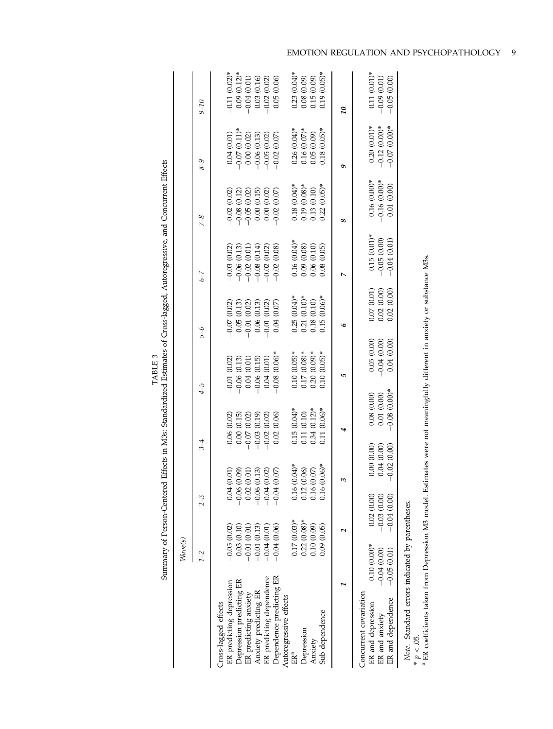|                                                                                                                                                                                                         |                                                  |                                                 |                                           |                                               |                                              | Summary of Person-Centered Effects in M3s: Standardized Estimates of Cross-lagged, Autoregressive, and Concurrent Effects |                                                               |                                                                                |                                                          |                                                                  |
|---------------------------------------------------------------------------------------------------------------------------------------------------------------------------------------------------------|--------------------------------------------------|-------------------------------------------------|-------------------------------------------|-----------------------------------------------|----------------------------------------------|---------------------------------------------------------------------------------------------------------------------------|---------------------------------------------------------------|--------------------------------------------------------------------------------|----------------------------------------------------------|------------------------------------------------------------------|
|                                                                                                                                                                                                         | $W\!ave(s)$                                      |                                                 |                                           |                                               |                                              |                                                                                                                           |                                                               |                                                                                |                                                          |                                                                  |
|                                                                                                                                                                                                         | $1-2$                                            | $2-3$                                           |                                           | $\frac{3}{4}$                                 | $\overline{4}$                               | $\delta$ -6                                                                                                               | $\zeta$ -7                                                    | $7-8$                                                                          | $8 - 9$                                                  | $01 - 6$                                                         |
| ER predicting depression<br>Cross-lagged effects                                                                                                                                                        | $-0.05(0.02)$                                    |                                                 | 0.04(0.01)                                | $-0.06(0.02)$                                 | $-0.01(0.02)$                                | $-0.07(0.02)$                                                                                                             | $-0.03$ $(0.02)$                                              |                                                                                | 0.04(0.01)                                               | $-0.11(0.02)*$                                                   |
| Depression predicting ER                                                                                                                                                                                | 0.03(0.10)                                       |                                                 | $-0.06(0.09)$                             | 0.00(0.15)                                    | $-0.06(0.13)$                                | 0.05(0.13)                                                                                                                |                                                               | $\begin{array}{r} -0.02\ (0.02) \\ -0.08\ (0.12) \\ -0.05\ (0.02) \end{array}$ | $-0.07(0.11)*$                                           | $\begin{array}{c} 0.09 \ (0.12)^* \\ -0.04 \ (0.01) \end{array}$ |
| ER predicting anxiety                                                                                                                                                                                   | $-0.01(0.01)$                                    | 0.02                                            | (0.01)                                    | $-0.07(0.02)$                                 | 0.04(0.01)                                   | $-0.01(0.02)$                                                                                                             | $\begin{array}{c} -0.06\ (0.13) \\ -0.02\ (0.01) \end{array}$ |                                                                                | 0.00(0.02)                                               |                                                                  |
| Anxiety predicting ER                                                                                                                                                                                   | $-0.01(0.13)$                                    |                                                 | $-0.06(0.13)$                             | $-0.03(0.19)$                                 | $-0.06(0.15)$                                | 0.06(0.13)                                                                                                                | $-0.08(0.14)$                                                 | $\begin{array}{c} 0.00 \ (0.15) \\ 0.00 \ (0.02) \end{array}$                  | $-0.06$ (0.13)<br>$-0.05$ (0.02)                         | 0.03(0.16)                                                       |
| ER predicting dependence                                                                                                                                                                                | $-0.04(0.01)$                                    |                                                 | $-0.04$ $(0.02)$                          | (0.02)<br>$-0.02$                             | 0.04(0.01)                                   | $-0.01(0.02)$                                                                                                             | (0.02)<br>$-0.02$                                             |                                                                                |                                                          | $(0.02)$<br>$-0.02$                                              |
| Dependence predicting ER<br>Autoregressive effects                                                                                                                                                      | $-0.04(0.06)$                                    | $-0.04$                                         | (0.07)                                    | (0.06)<br>0.02 <sub>1</sub>                   | $-0.08(0.06)$ *                              | 0.04(0.07)                                                                                                                | (0.08)<br>$-0.02$                                             | $-0.02(0.07)$                                                                  | $-0.02(0.07)$                                            | (0.06)<br>0.05                                                   |
| ER <sup>a</sup>                                                                                                                                                                                         | $0.17(0.03)*$                                    | 0.16                                            | $(0.04)$ *                                | $0.15(0.04)$ *                                | $0.10(0.05)*$                                | $0.25(0.04)*$                                                                                                             | $0.16(0.04)$ *                                                | $0.18(0.04)$ *                                                                 | $0.26(0.04)$ *                                           | $0.23(0.04)*$                                                    |
| Depression                                                                                                                                                                                              | $0.22(0.08)*$                                    | 0.12                                            | (0.06)                                    | 0.11 (0.10)                                   | $0.17(0.08)*$                                | $0.21(0.10)*$                                                                                                             | 0.09(0.08)                                                    | $0.19(0.08)*$                                                                  | $0.16(0.07)$ *                                           | 0.08(0.09)                                                       |
| Anxiety                                                                                                                                                                                                 | 0.10(0.09)                                       |                                                 | 0.16(0.07)                                | $0.34(0.12)*$                                 | $0.20(0.09)*$                                | 0.18(0.10)                                                                                                                | 0.06(0.10)                                                    | 0.13(0.10)                                                                     | 0.05(0.09)                                               | 0.15(0.09)                                                       |
| Sub dependence                                                                                                                                                                                          | 0.09(0.05)                                       | 0.16                                            | $(0.06)*$                                 | $0.11(0.06)*$                                 | $0.10(0.05)*$                                | $0.15(0.06)$ *                                                                                                            | (0.05)<br>0.08                                                | $(0.05)*$<br>0.22                                                              | $0.18(0.05)$ *                                           | $0.19(0.05)$ *                                                   |
|                                                                                                                                                                                                         |                                                  |                                                 | ε                                         |                                               | 5                                            | $\circ$                                                                                                                   |                                                               | 8                                                                              | 0                                                        | $\overline{\mathfrak{g}}$                                        |
| Concurrent covariation<br>ER and dependence<br>ER and depression<br>ER and anxiety                                                                                                                      | $-0.10(0.00)*$<br>$-0.04(0.00)$<br>$-0.05(0.01)$ | $-0.02(0.00)$<br>$-0.03(0.00)$<br>$-0.04(0.00)$ | 0.00(0.00)<br>0.04(0.00)<br>$-0.02(0.00)$ | $-0.08(0.00)*$<br>0.01(0.00)<br>$-0.08(0.00)$ | $-0.05(0.00)$<br>$-0.04(0.00)$<br>0.04(0.00) | $-0.07(0.01)$<br>0.02(0.00)<br>(0.00)<br>0.02                                                                             | $-0.15(0.01)$ *<br>$-0.05(0.00)$<br>$-0.04(0.01)$             | $-0.16(0.00)*$<br>$-0.16(0.00)*$<br>(0.00)<br>$0.01\,$                         | $-0.20(0.01)*$<br>$-0.12(0.00)*$<br>$(0.00)*$<br>$-0.07$ | $-0.11(0.01)*$<br>$-0.09$ (0.01)<br>(0.00)<br>$-0.05$            |
| <sup>a</sup> ER coefficients taken from Depression M3 model. Estimates were not meaningfully different in anxiety or substance M3s.<br>Note. Standard errors indicated by parentheses.<br>* $p < .05$ . |                                                  |                                                 |                                           |                                               |                                              |                                                                                                                           |                                                               |                                                                                |                                                          |                                                                  |

TABLE 3<br>Summary of Person-Centered Effects in M3s: Standardized Estimates of Cross-lagged, Autoregressive, and Concurrent Effects TABLE 3

EMOTION REGULATION AND PSYCHOPATHOLOGY 9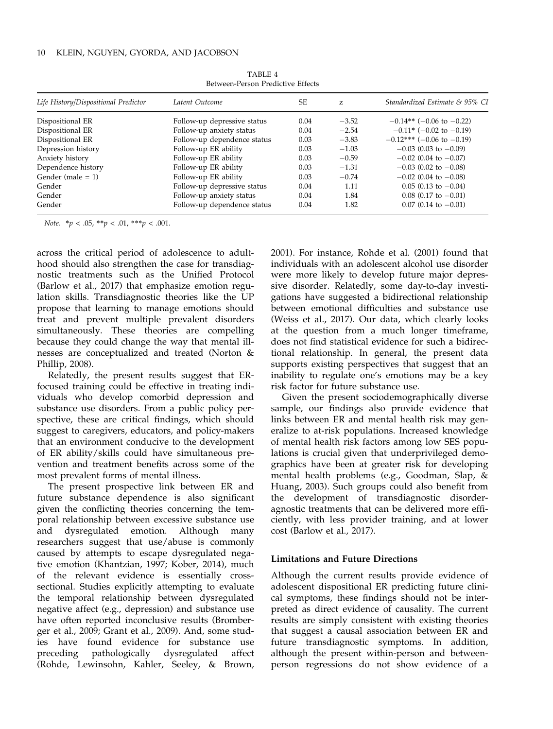| Life History/Dispositional Predictor | Latent Outcome              | SF.  | z       | Standardized Estimate & 95% CI |
|--------------------------------------|-----------------------------|------|---------|--------------------------------|
| Dispositional ER                     | Follow-up depressive status | 0.04 | $-3.52$ | $-0.14**$ (-0.06 to -0.22)     |
| Dispositional ER                     | Follow-up anxiety status    | 0.04 | $-2.54$ | $-0.11*$ (-0.02 to -0.19)      |
| Dispositional ER                     | Follow-up dependence status | 0.03 | $-3.83$ | $-0.12***$ (-0.06 to -0.19)    |
| Depression history                   | Follow-up ER ability        | 0.03 | $-1.03$ | $-0.03$ (0.03 to $-0.09$ )     |
| Anxiety history                      | Follow-up ER ability        | 0.03 | $-0.59$ | $-0.02$ (0.04 to $-0.07$ )     |
| Dependence history                   | Follow-up ER ability        | 0.03 | $-1.31$ | $-0.03$ (0.02 to $-0.08$ )     |
| Gender (male $= 1$ )                 | Follow-up ER ability        | 0.03 | $-0.74$ | $-0.02$ (0.04 to $-0.08$ )     |
| Gender                               | Follow-up depressive status | 0.04 | 1.11    | $0.05$ (0.13 to $-0.04$ )      |
| Gender                               | Follow-up anxiety status    | 0.04 | 1.84    | $0.08$ (0.17 to $-0.01$ )      |
| Gender                               | Follow-up dependence status | 0.04 | 1.82    | $0.07$ (0.14 to $-0.01$ )      |

TARI F 4 Between-Person Predictive Effects

Note.  $* p < .05, ** p < .01, ** p < .001.$ 

across the critical period of adolescence to adulthood should also strengthen the case for transdiagnostic treatments such as the Unified Protocol (Barlow et al., 2017) that emphasize emotion regulation skills. Transdiagnostic theories like the UP propose that learning to manage emotions should treat and prevent multiple prevalent disorders simultaneously. These theories are compelling because they could change the way that mental illnesses are conceptualized and treated (Norton & Phillip, 2008).

Relatedly, the present results suggest that ERfocused training could be effective in treating individuals who develop comorbid depression and substance use disorders. From a public policy perspective, these are critical findings, which should suggest to caregivers, educators, and policy-makers that an environment conducive to the development of ER ability/skills could have simultaneous prevention and treatment benefits across some of the most prevalent forms of mental illness.

The present prospective link between ER and future substance dependence is also significant given the conflicting theories concerning the temporal relationship between excessive substance use and dysregulated emotion. Although many researchers suggest that use/abuse is commonly caused by attempts to escape dysregulated negative emotion (Khantzian, 1997; Kober, 2014), much of the relevant evidence is essentially crosssectional. Studies explicitly attempting to evaluate the temporal relationship between dysregulated negative affect (e.g., depression) and substance use have often reported inconclusive results (Bromberger et al., 2009; Grant et al., 2009). And, some studies have found evidence for substance use preceding pathologically dysregulated affect (Rohde, Lewinsohn, Kahler, Seeley, & Brown,

2001). For instance, Rohde et al. (2001) found that individuals with an adolescent alcohol use disorder were more likely to develop future major depressive disorder. Relatedly, some day-to-day investigations have suggested a bidirectional relationship between emotional difficulties and substance use (Weiss et al., 2017). Our data, which clearly looks at the question from a much longer timeframe, does not find statistical evidence for such a bidirectional relationship. In general, the present data supports existing perspectives that suggest that an inability to regulate one's emotions may be a key risk factor for future substance use.

Given the present sociodemographically diverse sample, our findings also provide evidence that links between ER and mental health risk may generalize to at-risk populations. Increased knowledge of mental health risk factors among low SES populations is crucial given that underprivileged demographics have been at greater risk for developing mental health problems (e.g., Goodman, Slap, & Huang, 2003). Such groups could also benefit from the development of transdiagnostic disorderagnostic treatments that can be delivered more efficiently, with less provider training, and at lower cost (Barlow et al., 2017).

# Limitations and Future Directions

Although the current results provide evidence of adolescent dispositional ER predicting future clinical symptoms, these findings should not be interpreted as direct evidence of causality. The current results are simply consistent with existing theories that suggest a causal association between ER and future transdiagnostic symptoms. In addition, although the present within-person and betweenperson regressions do not show evidence of a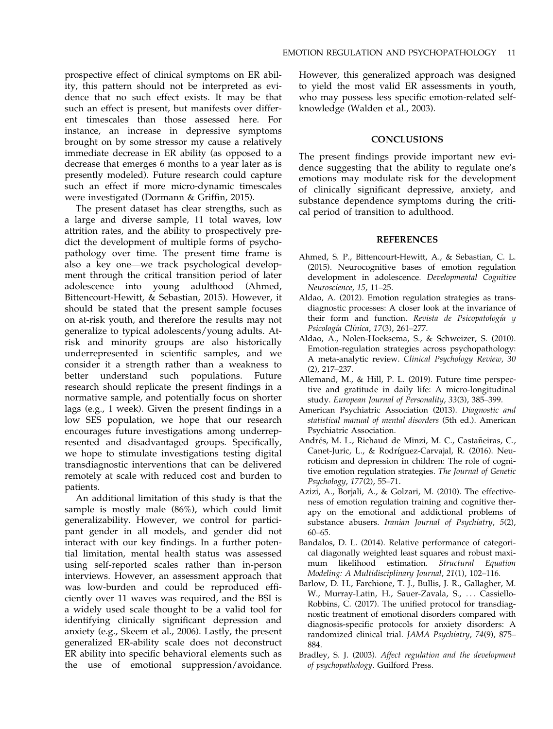prospective effect of clinical symptoms on ER ability, this pattern should not be interpreted as evidence that no such effect exists. It may be that such an effect is present, but manifests over different timescales than those assessed here. For instance, an increase in depressive symptoms brought on by some stressor my cause a relatively immediate decrease in ER ability (as opposed to a decrease that emerges 6 months to a year later as is presently modeled). Future research could capture such an effect if more micro-dynamic timescales were investigated (Dormann & Griffin, 2015).

The present dataset has clear strengths, such as a large and diverse sample, 11 total waves, low attrition rates, and the ability to prospectively predict the development of multiple forms of psychopathology over time. The present time frame is also a key one—we track psychological development through the critical transition period of later adolescence into young adulthood (Ahmed, Bittencourt-Hewitt, & Sebastian, 2015). However, it should be stated that the present sample focuses on at-risk youth, and therefore the results may not generalize to typical adolescents/young adults. Atrisk and minority groups are also historically underrepresented in scientific samples, and we consider it a strength rather than a weakness to better understand such populations. Future research should replicate the present findings in a normative sample, and potentially focus on shorter lags (e.g., 1 week). Given the present findings in a low SES population, we hope that our research encourages future investigations among underrepresented and disadvantaged groups. Specifically, we hope to stimulate investigations testing digital transdiagnostic interventions that can be delivered remotely at scale with reduced cost and burden to patients.

An additional limitation of this study is that the sample is mostly male (86%), which could limit generalizability. However, we control for participant gender in all models, and gender did not interact with our key findings. In a further potential limitation, mental health status was assessed using self-reported scales rather than in-person interviews. However, an assessment approach that was low-burden and could be reproduced efficiently over 11 waves was required, and the BSI is a widely used scale thought to be a valid tool for identifying clinically significant depression and anxiety (e.g., Skeem et al., 2006). Lastly, the present generalized ER-ability scale does not deconstruct ER ability into specific behavioral elements such as the use of emotional suppression/avoidance.

However, this generalized approach was designed to yield the most valid ER assessments in youth, who may possess less specific emotion-related selfknowledge (Walden et al., 2003).

### **CONCLUSIONS**

The present findings provide important new evidence suggesting that the ability to regulate one's emotions may modulate risk for the development of clinically significant depressive, anxiety, and substance dependence symptoms during the critical period of transition to adulthood.

# REFERENCES

- Ahmed, S. P., Bittencourt-Hewitt, A., & Sebastian, C. L. (2015). Neurocognitive bases of emotion regulation development in adolescence. Developmental Cognitive Neuroscience, 15, 11–25.
- Aldao, A. (2012). Emotion regulation strategies as transdiagnostic processes: A closer look at the invariance of their form and function. Revista de Psicopatología y Psicología Clínica, 17(3), 261-277.
- Aldao, A., Nolen-Hoeksema, S., & Schweizer, S. (2010). Emotion-regulation strategies across psychopathology: A meta-analytic review. Clinical Psychology Review, 30 (2), 217–237.
- Allemand, M., & Hill, P. L. (2019). Future time perspective and gratitude in daily life: A micro-longitudinal study. European Journal of Personality, 33(3), 385–399.
- American Psychiatric Association (2013). Diagnostic and statistical manual of mental disorders (5th ed.). American Psychiatric Association.
- Andrés, M. L., Richaud de Minzi, M. C., Castañeiras, C., Canet-Juric, L., & Rodríguez-Carvajal, R. (2016). Neuroticism and depression in children: The role of cognitive emotion regulation strategies. The Journal of Genetic Psychology, 177(2), 55–71.
- Azizi, A., Borjali, A., & Golzari, M. (2010). The effectiveness of emotion regulation training and cognitive therapy on the emotional and addictional problems of substance abusers. Iranian Journal of Psychiatry, 5(2), 60–65.
- Bandalos, D. L. (2014). Relative performance of categorical diagonally weighted least squares and robust maximum likelihood estimation. Structural Equation Modeling: A Multidisciplinary Journal, 21(1), 102–116.
- Barlow, D. H., Farchione, T. J., Bullis, J. R., Gallagher, M. W., Murray-Latin, H., Sauer-Zavala, S., ... Cassiello-Robbins, C. (2017). The unified protocol for transdiagnostic treatment of emotional disorders compared with diagnosis-specific protocols for anxiety disorders: A randomized clinical trial. JAMA Psychiatry, 74(9), 875– 884.
- Bradley, S. J. (2003). Affect regulation and the development of psychopathology. Guilford Press.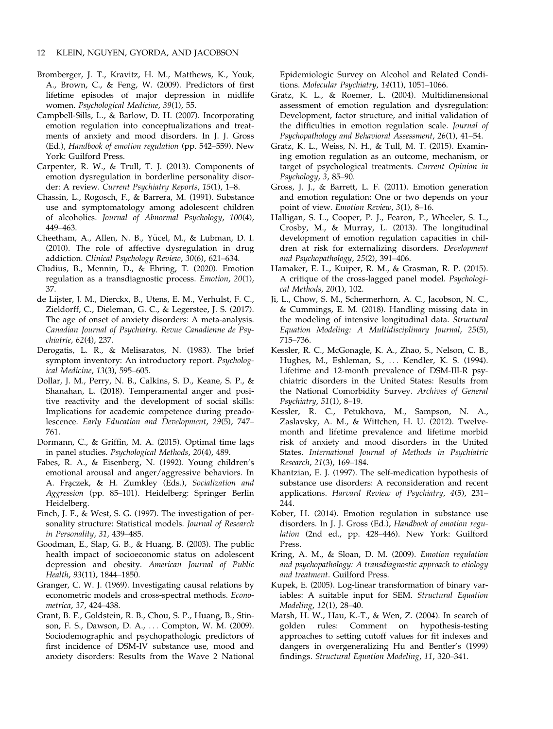- Bromberger, J. T., Kravitz, H. M., Matthews, K., Youk, A., Brown, C., & Feng, W. (2009). Predictors of first lifetime episodes of major depression in midlife women. Psychological Medicine, 39(1), 55.
- Campbell-Sills, L., & Barlow, D. H. (2007). Incorporating emotion regulation into conceptualizations and treatments of anxiety and mood disorders. In J. J. Gross (Ed.), Handbook of emotion regulation (pp. 542–559). New York: Guilford Press.
- Carpenter, R. W., & Trull, T. J. (2013). Components of emotion dysregulation in borderline personality disorder: A review. Current Psychiatry Reports, 15(1), 1-8.
- Chassin, L., Rogosch, F., & Barrera, M. (1991). Substance use and symptomatology among adolescent children of alcoholics. Journal of Abnormal Psychology, 100(4), 449–463.
- Cheetham, A., Allen, N. B., Yücel, M., & Lubman, D. I. (2010). The role of affective dysregulation in drug addiction. Clinical Psychology Review, 30(6), 621–634.
- Cludius, B., Mennin, D., & Ehring, T. (2020). Emotion regulation as a transdiagnostic process. Emotion, 20(1), 37.
- de Lijster, J. M., Dierckx, B., Utens, E. M., Verhulst, F. C., Zieldorff, C., Dieleman, G. C., & Legerstee, J. S. (2017). The age of onset of anxiety disorders: A meta-analysis. Canadian Journal of Psychiatry. Revue Canadienne de Psychiatrie, 62(4), 237.
- Derogatis, L. R., & Melisaratos, N. (1983). The brief symptom inventory: An introductory report. Psychological Medicine, 13(3), 595–605.
- Dollar, J. M., Perry, N. B., Calkins, S. D., Keane, S. P., & Shanahan, L. (2018). Temperamental anger and positive reactivity and the development of social skills: Implications for academic competence during preadolescence. Early Education and Development, 29(5), 747– 761.
- Dormann, C., & Griffin, M. A. (2015). Optimal time lags in panel studies. Psychological Methods, 20(4), 489.
- Fabes, R. A., & Eisenberg, N. (1992). Young children's emotional arousal and anger/aggressive behaviors. In A. Fraczek, & H. Zumkley (Eds.), Socialization and Aggression (pp. 85–101). Heidelberg: Springer Berlin Heidelberg.
- Finch, J. F., & West, S. G. (1997). The investigation of personality structure: Statistical models. Journal of Research in Personality, 31, 439–485.
- Goodman, E., Slap, G. B., & Huang, B. (2003). The public health impact of socioeconomic status on adolescent depression and obesity. American Journal of Public Health, 93(11), 1844–1850.
- Granger, C. W. J. (1969). Investigating causal relations by econometric models and cross-spectral methods. Econometrica, 37, 424–438.
- Grant, B. F., Goldstein, R. B., Chou, S. P., Huang, B., Stinson, F. S., Dawson, D. A., ... Compton, W. M. (2009). Sociodemographic and psychopathologic predictors of first incidence of DSM-IV substance use, mood and anxiety disorders: Results from the Wave 2 National

Epidemiologic Survey on Alcohol and Related Conditions. Molecular Psychiatry, 14(11), 1051–1066.

- Gratz, K. L., & Roemer, L. (2004). Multidimensional assessment of emotion regulation and dysregulation: Development, factor structure, and initial validation of the difficulties in emotion regulation scale. Journal of Psychopathology and Behavioral Assessment, 26(1), 41–54.
- Gratz, K. L., Weiss, N. H., & Tull, M. T. (2015). Examining emotion regulation as an outcome, mechanism, or target of psychological treatments. Current Opinion in Psychology, 3, 85–90.
- Gross, J. J., & Barrett, L. F. (2011). Emotion generation and emotion regulation: One or two depends on your point of view. Emotion Review, 3(1), 8–16.
- Halligan, S. L., Cooper, P. J., Fearon, P., Wheeler, S. L., Crosby, M., & Murray, L. (2013). The longitudinal development of emotion regulation capacities in children at risk for externalizing disorders. Development and Psychopathology, 25(2), 391–406.
- Hamaker, E. L., Kuiper, R. M., & Grasman, R. P. (2015). A critique of the cross-lagged panel model. Psychological Methods, 20(1), 102.
- Ji, L., Chow, S. M., Schermerhorn, A. C., Jacobson, N. C., & Cummings, E. M. (2018). Handling missing data in the modeling of intensive longitudinal data. Structural Equation Modeling: A Multidisciplinary Journal, 25(5), 715–736.
- Kessler, R. C., McGonagle, K. A., Zhao, S., Nelson, C. B., Hughes, M., Eshleman, S., ... Kendler, K. S. (1994). Lifetime and 12-month prevalence of DSM-III-R psychiatric disorders in the United States: Results from the National Comorbidity Survey. Archives of General Psychiatry, 51(1), 8–19.
- Kessler, R. C., Petukhova, M., Sampson, N. A., Zaslavsky, A. M., & Wittchen, H. U. (2012). Twelvemonth and lifetime prevalence and lifetime morbid risk of anxiety and mood disorders in the United States. International Journal of Methods in Psychiatric Research, 21(3), 169–184.
- Khantzian, E. J. (1997). The self-medication hypothesis of substance use disorders: A reconsideration and recent applications. Harvard Review of Psychiatry, 4(5), 231– 244.
- Kober, H. (2014). Emotion regulation in substance use disorders. In J. J. Gross (Ed.), Handbook of emotion regulation (2nd ed., pp. 428–446). New York: Guilford Press.
- Kring, A. M., & Sloan, D. M. (2009). Emotion regulation and psychopathology: A transdiagnostic approach to etiology and treatment. Guilford Press.
- Kupek, E. (2005). Log-linear transformation of binary variables: A suitable input for SEM. Structural Equation Modeling, 12(1), 28–40.
- Marsh, H. W., Hau, K.-T., & Wen, Z. (2004). In search of golden rules: Comment on hypothesis-testing approaches to setting cutoff values for fit indexes and dangers in overgeneralizing Hu and Bentler's (1999) findings. Structural Equation Modeling, 11, 320–341.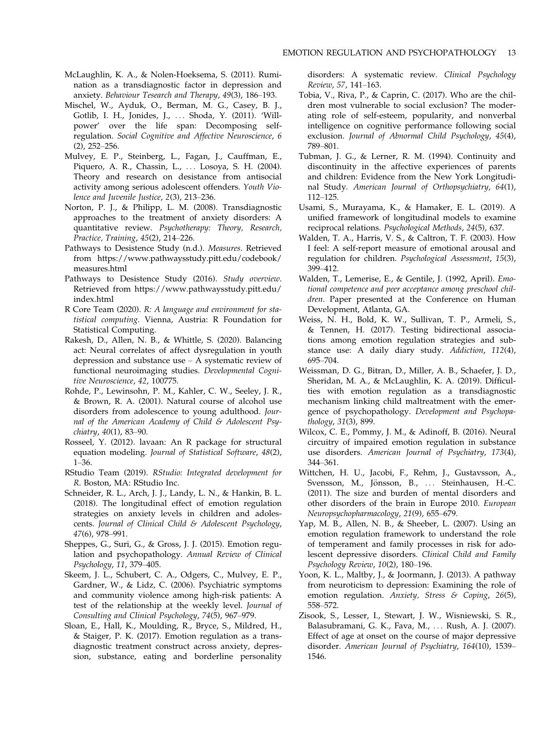- McLaughlin, K. A., & Nolen-Hoeksema, S. (2011). Rumination as a transdiagnostic factor in depression and anxiety. Behaviour Tesearch and Therapy, 49(3), 186–193.
- Mischel, W., Ayduk, O., Berman, M. G., Casey, B. J., Gotlib, I. H., Jonides, J., ... Shoda, Y. (2011). 'Willpower' over the life span: Decomposing selfregulation. Social Cognitive and Affective Neuroscience, 6 (2), 252–256.
- Mulvey, E. P., Steinberg, L., Fagan, J., Cauffman, E., Piquero, A. R., Chassin, L., ... Losoya, S. H. (2004). Theory and research on desistance from antisocial activity among serious adolescent offenders. Youth Violence and Juvenile Justice, 2(3), 213–236.
- Norton, P. J., & Philipp, L. M. (2008). Transdiagnostic approaches to the treatment of anxiety disorders: A quantitative review. Psychotherapy: Theory, Research, Practice, Training, 45(2), 214–226.
- Pathways to Desistence Study (n.d.). Measures. Retrieved from [https://www.pathwaysstudy.pitt.edu/codebook/](https://www.pathwaysstudy.pitt.edu/codebook/measures.html) [measures.html](https://www.pathwaysstudy.pitt.edu/codebook/measures.html)
- Pathways to Desistence Study (2016). Study overview. Retrieved from [https://www.pathwaysstudy.pitt.edu/](https://www.pathwaysstudy.pitt.edu/index.html) [index.html](https://www.pathwaysstudy.pitt.edu/index.html)
- R Core Team (2020). R: A language and environment for statistical computing. Vienna, Austria: R Foundation for Statistical Computing.
- Rakesh, D., Allen, N. B., & Whittle, S. (2020). Balancing act: Neural correlates of affect dysregulation in youth depression and substance use – A systematic review of functional neuroimaging studies. Developmental Cognitive Neuroscience, 42, 100775.
- Rohde, P., Lewinsohn, P. M., Kahler, C. W., Seeley, J. R., & Brown, R. A. (2001). Natural course of alcohol use disorders from adolescence to young adulthood. Journal of the American Academy of Child & Adolescent Psychiatry, 40(1), 83–90.
- Rosseel, Y. (2012). lavaan: An R package for structural equation modeling. Journal of Statistical Software, 48(2), 1–36.
- RStudio Team (2019). RStudio: Integrated development for R. Boston, MA: RStudio Inc.
- Schneider, R. L., Arch, J. J., Landy, L. N., & Hankin, B. L. (2018). The longitudinal effect of emotion regulation strategies on anxiety levels in children and adolescents. Journal of Clinical Child & Adolescent Psychology, 47(6), 978–991.
- Sheppes, G., Suri, G., & Gross, J. J. (2015). Emotion regulation and psychopathology. Annual Review of Clinical Psychology, 11, 379–405.
- Skeem, J. L., Schubert, C. A., Odgers, C., Mulvey, E. P., Gardner, W., & Lidz, C. (2006). Psychiatric symptoms and community violence among high-risk patients: A test of the relationship at the weekly level. Journal of Consulting and Clinical Psychology, 74(5), 967–979.
- Sloan, E., Hall, K., Moulding, R., Bryce, S., Mildred, H., & Staiger, P. K. (2017). Emotion regulation as a transdiagnostic treatment construct across anxiety, depression, substance, eating and borderline personality

disorders: A systematic review. Clinical Psychology Review, 57, 141–163.

- Tobia, V., Riva, P., & Caprin, C. (2017). Who are the children most vulnerable to social exclusion? The moderating role of self-esteem, popularity, and nonverbal intelligence on cognitive performance following social exclusion. Journal of Abnormal Child Psychology, 45(4), 789–801.
- Tubman, J. G., & Lerner, R. M. (1994). Continuity and discontinuity in the affective experiences of parents and children: Evidence from the New York Longitudinal Study. American Journal of Orthopsychiatry, 64(1), 112–125.
- Usami, S., Murayama, K., & Hamaker, E. L. (2019). A unified framework of longitudinal models to examine reciprocal relations. Psychological Methods, 24(5), 637.
- Walden, T. A., Harris, V. S., & Caltron, T. F. (2003). How I feel: A self-report measure of emotional arousal and regulation for children. Psychological Assessment, 15(3), 399–412.
- Walden, T., Lemerise, E., & Gentile, J. (1992, April). Emotional competence and peer acceptance among preschool children. Paper presented at the Conference on Human Development, Atlanta, GA.
- Weiss, N. H., Bold, K. W., Sullivan, T. P., Armeli, S., & Tennen, H. (2017). Testing bidirectional associations among emotion regulation strategies and substance use: A daily diary study. Addiction, 112(4), 695–704.
- Weissman, D. G., Bitran, D., Miller, A. B., Schaefer, J. D., Sheridan, M. A., & McLaughlin, K. A. (2019). Difficulties with emotion regulation as a transdiagnostic mechanism linking child maltreatment with the emergence of psychopathology. Development and Psychopathology, 31(3), 899.
- Wilcox, C. E., Pommy, J. M., & Adinoff, B. (2016). Neural circuitry of impaired emotion regulation in substance use disorders. American Journal of Psychiatry, 173(4), 344–361.
- Wittchen, H. U., Jacobi, F., Rehm, J., Gustavsson, A., Svensson, M., Jönsson, B., ... Steinhausen, H.-C. (2011). The size and burden of mental disorders and other disorders of the brain in Europe 2010. European Neuropsychopharmacology, 21(9), 655–679.
- Yap, M. B., Allen, N. B., & Sheeber, L. (2007). Using an emotion regulation framework to understand the role of temperament and family processes in risk for adolescent depressive disorders. Clinical Child and Family Psychology Review, 10(2), 180–196.
- Yoon, K. L., Maltby, J., & Joormann, J. (2013). A pathway from neuroticism to depression: Examining the role of emotion regulation. Anxiety, Stress & Coping, 26(5), 558–572.
- Zisook, S., Lesser, I., Stewart, J. W., Wisniewski, S. R., Balasubramani, G. K., Fava, M., ... Rush, A. J. (2007). Effect of age at onset on the course of major depressive disorder. American Journal of Psychiatry, 164(10), 1539– 1546.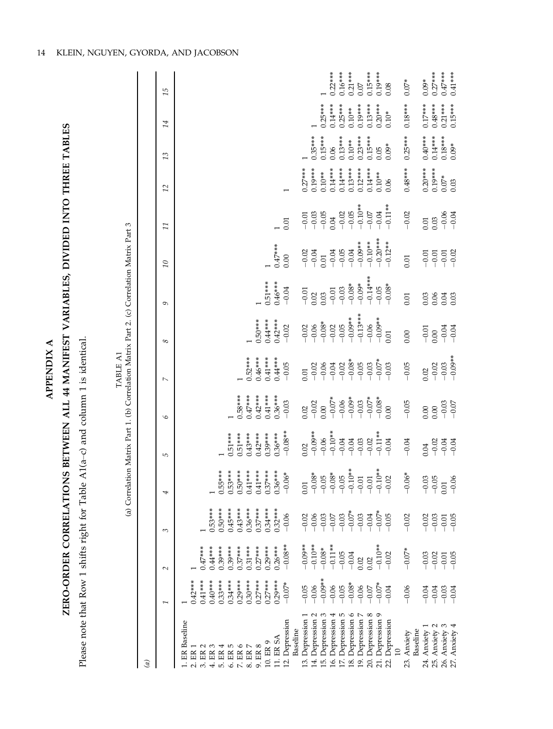| é<br>г    |  |
|-----------|--|
| ٢         |  |
|           |  |
| 'n<br>. . |  |
| я         |  |

# ZERO-ORDER CORRELATIONS BETWEEN ALL 44 MANIFEST VARIABLES, DIVIDED INTO THREE TABLES ZERO-ORDER CORRELATIONS BETWEEN ALL 44 MANIFEST VARIABLES, DIVIDED INTO THREE TABLES

Please note that Row 1 shifts right for Table A1(a-c) and column 1 is identical. –c) and column 1 is identical. Please note that Row 1 shifts right for Table A1(a

|                                                    |                               |                                                                                                       |                                                                                                                                                                                                                                                                                                                                                                                                                     | (a) Correlation Matrix Part 1. (b) Correlation Matrix Part 2. (c) Correlation Matrix Part 3 |                        |                                                                                                     | TABLE A1                         |                               |                                                            |                                                                   |                    |                                |                      |                        |           |
|----------------------------------------------------|-------------------------------|-------------------------------------------------------------------------------------------------------|---------------------------------------------------------------------------------------------------------------------------------------------------------------------------------------------------------------------------------------------------------------------------------------------------------------------------------------------------------------------------------------------------------------------|---------------------------------------------------------------------------------------------|------------------------|-----------------------------------------------------------------------------------------------------|----------------------------------|-------------------------------|------------------------------------------------------------|-------------------------------------------------------------------|--------------------|--------------------------------|----------------------|------------------------|-----------|
| $\widehat{a}$                                      |                               |                                                                                                       |                                                                                                                                                                                                                                                                                                                                                                                                                     |                                                                                             |                        |                                                                                                     |                                  |                               |                                                            |                                                                   |                    |                                |                      |                        |           |
|                                                    |                               | $\sim$                                                                                                | ξ                                                                                                                                                                                                                                                                                                                                                                                                                   | 4                                                                                           | 5                      | 9                                                                                                   | $\overline{ }$                   | 8                             | 9                                                          | $\overline{\Omega}$                                               | $\overline{11}$    | 12                             | 13                   | 14                     | 15        |
| 1. ER Baseline<br>ER <sub>1</sub>                  | $0.42***$                     |                                                                                                       |                                                                                                                                                                                                                                                                                                                                                                                                                     |                                                                                             |                        |                                                                                                     |                                  |                               |                                                            |                                                                   |                    |                                |                      |                        |           |
| 3. ER 2                                            | $0.41***$                     | $0.47***$                                                                                             |                                                                                                                                                                                                                                                                                                                                                                                                                     |                                                                                             |                        |                                                                                                     |                                  |                               |                                                            |                                                                   |                    |                                |                      |                        |           |
| 4. ER 3                                            | $0.40***$                     | $0.44***$                                                                                             | $0.53***$                                                                                                                                                                                                                                                                                                                                                                                                           |                                                                                             |                        |                                                                                                     |                                  |                               |                                                            |                                                                   |                    |                                |                      |                        |           |
| 5. ER 4                                            | $0.33***$                     | $0.39***$                                                                                             | $0.50***$                                                                                                                                                                                                                                                                                                                                                                                                           | $0.55***$                                                                                   |                        |                                                                                                     |                                  |                               |                                                            |                                                                   |                    |                                |                      |                        |           |
| $6. \; \mathrm{ER} \; 5 \\ 7. \; \mathrm{ER} \; 6$ | $0.34***$                     | $0.39***$<br>$0.37***$                                                                                | $0.45***$                                                                                                                                                                                                                                                                                                                                                                                                           | $0.53***$<br>$0.50***$                                                                      | $0.51***$              |                                                                                                     |                                  |                               |                                                            |                                                                   |                    |                                |                      |                        |           |
| 8. ER $7$                                          | $0.30***$<br>$0.29***$        | $0.31***$                                                                                             | $0.43***$                                                                                                                                                                                                                                                                                                                                                                                                           | $0.41***$                                                                                   | $0.51***$<br>$0.43***$ | $0.47***$<br>$0.58***$                                                                              | $0.52***$                        |                               |                                                            |                                                                   |                    |                                |                      |                        |           |
| 9. ER 8                                            | $0.27***$                     | $0.27**$                                                                                              | $0.36***$<br>$0.37***$                                                                                                                                                                                                                                                                                                                                                                                              | $0.41***$                                                                                   | $0.42***$              | $0.42***$                                                                                           | $0.46***$                        | $0.50***$                     |                                                            |                                                                   |                    |                                |                      |                        |           |
| 10. ER 9                                           | $0.27***$                     | $0.29***$                                                                                             | $0.34***$                                                                                                                                                                                                                                                                                                                                                                                                           | $0.37***$                                                                                   | $0.39***$              | $0.41***$                                                                                           | $0.41***$                        | $0.44***$                     | $0.51***$                                                  |                                                                   |                    |                                |                      |                        |           |
| 11. ER SA                                          | $0.29***$                     | $0.26***$                                                                                             | $0.32***$                                                                                                                                                                                                                                                                                                                                                                                                           | $0.36***$                                                                                   | $0.36***$              | $0.36***$                                                                                           | $0.44***$                        | $0.42***$                     | $0.46***$                                                  | $0.47***$                                                         |                    |                                |                      |                        |           |
| 12. Depression<br>Baseline                         | $-0.07*$                      | $-0.08**$                                                                                             | $-0.06$                                                                                                                                                                                                                                                                                                                                                                                                             | $-0.06*$                                                                                    | $-0.08**$              | $-0.03$                                                                                             | $-0.05$                          | $-0.02$                       | $-0.04$                                                    | 0.00                                                              | 0.01               |                                |                      |                        |           |
| 13. Depression 1                                   | $-0.05$                       |                                                                                                       |                                                                                                                                                                                                                                                                                                                                                                                                                     | 0.01                                                                                        | 0.02                   | 0.02                                                                                                | 0.01                             | $-0.02$                       | $-0.01$                                                    |                                                                   | $-0.01$            | $0.27***$                      |                      |                        |           |
| 14. Depression 2                                   | $-0.06$                       | $\begin{array}{r} \n 1000* \\ \n 0.10* \\ \n 0.08* \\ \n 0.05* \\ \n 0.05* \\ \n 0.04 \n \end{array}$ | $\begin{array}{l} 23 \overline{)0} \\ 25 \overline{)0} \\ 26 \overline{)0} \\ 27 \overline{)0} \\ 28 \overline{)0} \\ 29 \overline{)0} \\ 20 \overline{)0} \\ 20 \overline{)0} \\ 20 \overline{)0} \\ 20 \overline{)0} \\ 20 \overline{)0} \\ 20 \overline{)0} \\ 20 \overline{)0} \\ 20 \overline{)0} \\ 20 \overline{)0} \\ 20 \overline{)0} \\ 20 \overline{)0} \\ 20 \overline{)0} \\ 20 \overline{)0} \\ 20 \$ | $-0.08*$                                                                                    | $-0.09**$              | $-0.02$                                                                                             |                                  |                               | 0.02                                                       | $-0.02$<br>$-0.04$                                                |                    | $0.19***$                      | $0.35***$            |                        |           |
| 15. Depression 3                                   | $-0.09**$                     |                                                                                                       |                                                                                                                                                                                                                                                                                                                                                                                                                     | $-0.05$                                                                                     | $-0.06$                | 0.00                                                                                                | $-0.02$<br>$-0.06$<br>$-0.04$    | $-0.06$<br>$-0.08*$           | 0.03                                                       | 0.01                                                              | $-0.03$<br>$-0.05$ | $0.10***$                      | $0.15***$            | $0.25***$              |           |
| 16. Depression 4                                   | $-0.06$                       |                                                                                                       |                                                                                                                                                                                                                                                                                                                                                                                                                     | $-0.08*$                                                                                    | $-0.10**$              | $-0.07*$                                                                                            |                                  | $-0.02$                       | $-0.01$                                                    | $-0.04$                                                           | 0.04               | $0.14***$                      | 0.06                 | $0.14***$              | $0.22***$ |
| 17. Depression 5                                   | $-0.05$                       |                                                                                                       |                                                                                                                                                                                                                                                                                                                                                                                                                     | $-0.05$                                                                                     | $-0.04$                |                                                                                                     | $-0.02$                          | $-0.05$                       | $\begin{array}{r} -0.03 \\ -0.08^* \\ -0.09^* \end{array}$ | $-0.05$                                                           | $-0.02$<br>$-0.05$ | $0.14***$                      | $0.13***$            | $0.25***$              | $0.16***$ |
| 18. Depression 6                                   | $-0.08*$                      |                                                                                                       |                                                                                                                                                                                                                                                                                                                                                                                                                     | $-0.10**$<br>-0.01                                                                          | $-0.04$                |                                                                                                     | $-0.08*$                         | $-0.09**$                     |                                                            | $-0.04$                                                           |                    | $0.13***$                      | $0.10**$             | $0.10***$              | $0.21***$ |
| 19. Depression 7                                   | $-0.06$                       | 0.02                                                                                                  |                                                                                                                                                                                                                                                                                                                                                                                                                     |                                                                                             | $-0.03$                | $\begin{array}{r} -0.06 \\ -0.09^* \\ -0.03 \\ -0.07^* \\ -0.08^* \\ -0.08^* \\ 0.08^* \end{array}$ | $-0.05$                          | $-0.13***$                    |                                                            | $-0.09**$                                                         | $-0.10**$          | $0.12***$                      | $0.23***$            | $0.19***$              | 0.07      |
| 20. Depression 8                                   | $-0.07$                       | 0.02                                                                                                  |                                                                                                                                                                                                                                                                                                                                                                                                                     | $-0.01$                                                                                     | $-0.02$                |                                                                                                     | $-0.03$                          | $-0.06$<br>$-0.09**$<br>0.01  | $-0.14***$<br>$-0.05$<br>$-0.08*$                          | $-0.10***$<br>$-0.20***$<br>$-0.12***$                            | $-0.07$            | $0.14***$<br>$0.10***$<br>0.06 | $0.15***$            | $0.13***$              | $0.15***$ |
| 21. Depression 9                                   |                               |                                                                                                       |                                                                                                                                                                                                                                                                                                                                                                                                                     | $-0.10**$<br>$-0.02$                                                                        |                        |                                                                                                     |                                  |                               |                                                            |                                                                   | $-0.04$            |                                | $0.05$ <sup>*</sup>  |                        | $0.19***$ |
| Depression<br>10<br>22.                            | $-0.07*$                      | $-0.10**$<br>-0.02                                                                                    |                                                                                                                                                                                                                                                                                                                                                                                                                     |                                                                                             | $-0.11**$<br>$-0.04$   |                                                                                                     | $-0.07*$                         |                               |                                                            |                                                                   | $-0.11**$          |                                |                      | $0.20***$<br>$0.10***$ | 0.08      |
| Baseline<br>23. Anxiety                            | $-0.06$                       | $-0.07*$                                                                                              | $-0.02$                                                                                                                                                                                                                                                                                                                                                                                                             | $-0.06*$                                                                                    | $-0.04$                | $-0.05$                                                                                             | $-0.05$                          | 0.00                          | 0.01                                                       | 0.01                                                              | $-0.02$            | $0.48***$                      | $0.25***$            | $0.18***$              | $0.07*$   |
| 24. Anxiety 1                                      | $-0.04$                       | $-0.03$                                                                                               |                                                                                                                                                                                                                                                                                                                                                                                                                     |                                                                                             | 0.04                   | 0.00                                                                                                | 0.02                             |                               | 0.03                                                       |                                                                   |                    | $0.20***$                      | $0.40***$            | $0.17***$              | $0.09*$   |
| 25. Anxiety 2                                      | $-0.04$<br>$-0.03$<br>$-0.04$ | $-0.02$<br>$-0.01$<br>$-0.05$                                                                         | $-0.03$<br>$-0.03$<br>$-0.05$                                                                                                                                                                                                                                                                                                                                                                                       | $-0.03$<br>$-0.05$                                                                          | $8880$<br>$990$        | 0.00                                                                                                | $-0.02$<br>$-0.03$<br>$-0.09$ ** | $-0.00$<br>$-0.00$<br>$-0.04$ | 0.06                                                       | $\begin{array}{c} 55 \\ 0 \\ -0 \\ -0 \\ -0 \\ -0 \\ \end{array}$ | 0.01               | $0.19***$<br>$0.07*$<br>0.03   | $0.14***$            | $0.48***$              | $0.27***$ |
| 26. Anxiety 3                                      |                               |                                                                                                       |                                                                                                                                                                                                                                                                                                                                                                                                                     | $\frac{0.01}{-0.06}$                                                                        |                        |                                                                                                     |                                  |                               | 0.04                                                       |                                                                   |                    |                                |                      | $0.21***$              | $0.47***$ |
| 27. Anxiety 4                                      |                               |                                                                                                       |                                                                                                                                                                                                                                                                                                                                                                                                                     |                                                                                             |                        | $-0.03$<br>$-0.07$                                                                                  |                                  |                               |                                                            |                                                                   | $-0.06$<br>$-0.04$ |                                | $0.18***$<br>$0.09*$ | $0.15***$              | $0.41***$ |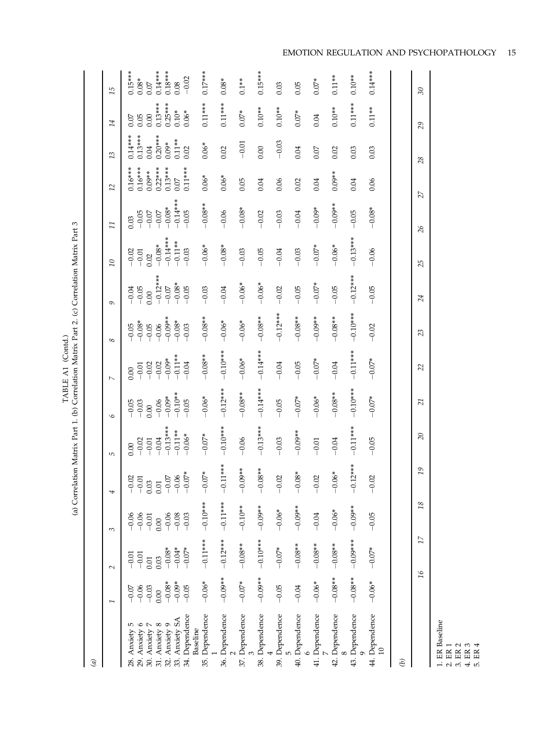| $\mathcal{G}$                                                                                                                                                                            |                            |                                     |                                       |                                                               |                               |                                                                     |                                            |                                                                                      |                    |                                        |                                                                           |                                     |                        |                      |                                                                                              |
|------------------------------------------------------------------------------------------------------------------------------------------------------------------------------------------|----------------------------|-------------------------------------|---------------------------------------|---------------------------------------------------------------|-------------------------------|---------------------------------------------------------------------|--------------------------------------------|--------------------------------------------------------------------------------------|--------------------|----------------------------------------|---------------------------------------------------------------------------|-------------------------------------|------------------------|----------------------|----------------------------------------------------------------------------------------------|
|                                                                                                                                                                                          |                            | $\sim$                              | 3                                     | 4                                                             | 5                             | $\mathcal{Q}$                                                       |                                            | $^{\circ}$                                                                           | Ó                  | $\overline{10}$                        | Π                                                                         | 12                                  | 13                     | 14                   | 15                                                                                           |
| ю<br>28. Anxiety                                                                                                                                                                         | $-0.07$                    | $-0.01$<br>$-0.01$                  | $-0.06$<br>$-0.01$<br>$-0.01$<br>0.00 | $\begin{array}{r} -0.02 \\ -0.01 \\ 0.03 \\ 0.01 \end{array}$ | 0.00                          | $-0.05$<br>$-0.03$<br>0.00                                          | 0.00                                       | $-0.05$<br>$-0.05$<br>$-0.05$<br>$-0.05$<br>$-0.05$<br>$-0.05$<br>$-0.05$<br>$-0.05$ | $-0.04$<br>$-0.05$ | $-0.02$<br>$-0.01$<br>0.02             | 0.03                                                                      | $0.16***$<br>$0.16***$<br>$0.03***$ | $0.13***$<br>$0.14***$ | 0.05<br>0.07         | $\begin{array}{c} 0.15***\\ 0.08***\\ 0.007\\ 0.14***\\ 0.18***\\ 0.08\\ 0.08\\ \end{array}$ |
| $\begin{array}{l} \textbf{29. Anviety 6} \\ \textbf{30. Anviety 7} \\ \textbf{31. Anviety 8} \\ \textbf{32. Anviety 9} \\ \textbf{33. Anviety 9} \\ \textbf{33. Anviety 5A} \end{array}$ | $-0.06$<br>$-0.03$<br>0.00 | 0.01                                |                                       |                                                               | $-0.02$<br>$-0.01$<br>$-0.04$ |                                                                     | $-0.01$<br>$-0.02$<br>$-0.02$<br>$-0.09$ * |                                                                                      | 0.00               |                                        | $-0.05$<br>$-0.07$<br>$-0.07$<br>$-0.08$<br>$-0.08$<br>$-0.05$<br>$-0.05$ |                                     |                        | 0.00                 |                                                                                              |
|                                                                                                                                                                                          |                            | 0.03                                |                                       |                                                               |                               |                                                                     |                                            |                                                                                      | $-0.12***$         |                                        |                                                                           |                                     | $0.04$<br>$0.20***$    | $0.13***$            |                                                                                              |
|                                                                                                                                                                                          |                            |                                     | $-0.06$<br>$-0.08$<br>$-0.03$         | $-0.07$<br>$-0.06$<br>$-0.07$                                 | $-0.13***$<br>$-0.11***$      | $-0.06$<br>$-0.09$ <sup>*</sup><br>$-0.10$ <sup>**</sup><br>$-0.05$ |                                            |                                                                                      | $-0.07$            | $-0.08$ *<br>$-0.14$ ***<br>$-0.11$ ** |                                                                           | $0.22***$<br>0.13***                |                        | $0.25***$<br>$0.10*$ |                                                                                              |
|                                                                                                                                                                                          | $-0.08*$<br>$-0.09*$       |                                     |                                       |                                                               |                               |                                                                     | $-0.11**$                                  |                                                                                      |                    |                                        |                                                                           | $0.07$                              | $0.11***$              |                      |                                                                                              |
| 34. Dependence<br>Baseline                                                                                                                                                               | $-0.05$                    | $-0.08$ *<br>$-0.04$ *<br>$-0.07$ * |                                       | $.07*$                                                        | $-0.06*$                      |                                                                     | $-0.04$                                    | $-0.03$                                                                              | $-0.08*$           | $-0.03$                                |                                                                           | $0.11***$                           | 0.02                   | $0.06*$              | $-0.02$                                                                                      |
| 35. Dependence                                                                                                                                                                           | $-0.06*$                   | $-0.11$ **                          | $+$ ***O $-$                          | $.07*$<br>$\overline{P}$                                      | $-0.07*$                      | $-0.06*$                                                            | $-0.08**$                                  | $-0.08**$                                                                            | $-0.03$            | $-0.06*$                               | $-0.08**$                                                                 | $0.06*$                             | $0.06*$                | $0.11***$            | $0.17***$                                                                                    |
| 36. Dependence                                                                                                                                                                           | $-0.09**$                  | $-0.12***$                          | $-0.11**$                             | $-0.11***$                                                    | $*$ *** 0 $\overline{0}$      | $-0.12***$                                                          | $-0.10$ **                                 | $-0.06*$                                                                             | $-0.04$            | $-0.08*$                               | $-0.06$                                                                   | $0.06*$                             | 0.02                   | $0.11***$            | $0.08*$                                                                                      |
| 37. Dependence                                                                                                                                                                           | $-0.07*$                   | $-0.08**$                           | $-0.10**$                             | $*800.$<br>$\vec{P}$                                          | $-0.06$                       | $-0.08**$                                                           | $-0.06*$                                   | $-0.06*$                                                                             | $-0.06*$           | $-0.03$                                | $-0.08*$                                                                  | 0.05                                | $-0.01$                | $0.07*$              | $0.1***$                                                                                     |
| 38. Dependence                                                                                                                                                                           | $-0.09**$                  | $-0.10**$                           | $-0.09**$                             | $88$ *<br>$\vec{P}$                                           | $-0.13***$                    | $-0.14***$                                                          | $-0.14***$                                 | $-0.08**$                                                                            | $-0.06*$           | $-0.05$                                | $-0.02$                                                                   | 0.04                                | 0.00                   | $0.10**$             | $0.15***$                                                                                    |
| 39. Dependence<br>5                                                                                                                                                                      | $-0.05$                    | $-0.07*$                            | $-0.06*$                              | $\mathcal{L}$<br>$\overline{P}$                               | $-0.03$                       | $-0.05$                                                             | $-0.04$                                    | $-0.12***$                                                                           | $-0.02$            | $-0.04$                                | $-0.03$                                                                   | 0.06                                | $-0.03$                | $0.10**$             | 0.03                                                                                         |
| 40. Dependence                                                                                                                                                                           | $-0.04$                    | $-0.08**$                           | $-0.09**$                             | $.08*$<br>$\overline{P}$                                      | $-0.09**$                     | $-0.07*$                                                            | $-0.05$                                    | $-0.08**$                                                                            | $-0.05$            | $-0.03$                                | $-0.04$                                                                   | 0.02                                | 0.04                   | $0.07*$              | 0.05                                                                                         |
| 41. Dependence                                                                                                                                                                           | $-0.06*$                   | $-0.08**$                           | $-0.04$                               | $\mathcal{L}$<br>$\overline{P}$                               | $-0.01$                       | $-0.06*$                                                            | $-0.07*$                                   | $-0.09**$                                                                            | $-0.07*$           | $-0.07*$                               | $-0.09*$                                                                  | 0.04                                | 0.07                   | 0.04                 | $0.07*$                                                                                      |
| 42. Dependence                                                                                                                                                                           | $-0.08**$                  | $-0.08**$                           | $-0.06*$                              | $.06*$<br>$\vec{P}$                                           | $-0.04$                       | $-0.08**$                                                           | $-0.04$                                    | $-0.08**$                                                                            | $-0.05$            | $-0.06*$                               | $-0.09**$                                                                 | $0.09**$                            | 0.02                   | $0.10**$             | $0.11**$                                                                                     |
| 43. Dependence                                                                                                                                                                           | $-0.08**$                  | $-0.00*$                            | $-0.09**$                             | $-0.12***$                                                    | $-0.11***$                    | $-0.10**$                                                           | $-0.11***$                                 | $-0.10***$                                                                           | $-0.12***$         | $-0.13***$                             | $-0.05$                                                                   | 0.04                                | 0.03                   | $0.11***$            | $0.10**$                                                                                     |
| 44. Dependence<br>$\Xi$                                                                                                                                                                  | $-0.06*$                   | $-0.07*$                            | $-0.05$                               | $-0.02$                                                       | $-0.05$                       | $-0.07*$                                                            | $-0.07*$                                   | $-0.02$                                                                              | $-0.05$            | $-0.06$                                | $-0.08*$                                                                  | 0.06                                | 0.03                   | $0.11***$            | $0.14***$                                                                                    |
| $\mathcal{E}$                                                                                                                                                                            |                            |                                     |                                       |                                                               |                               |                                                                     |                                            |                                                                                      |                    |                                        |                                                                           |                                     |                        |                      |                                                                                              |
|                                                                                                                                                                                          |                            |                                     | $^{18}$                               | 19                                                            | 20                            | 51                                                                  |                                            | 23                                                                                   | 24                 | 25                                     | 26                                                                        | 27                                  | 28                     | 29                   | 30 <sub>o</sub>                                                                              |

 $\mbox{TABLE A1 (Contd.)}$  (a) Correlation Matrix Part 1. (b) Correlation Matrix Part 2. (c) Correlation Matrix Part 3 (a) Correlation Matrix Part 1. (b) Correlation Matrix Part 2. (c) Correlation Matrix Part 3 TABLE A1 (Contd.)

L

1. ER Baseline

2. ER 1<br>5. ER 5. ER<br>5. ER 4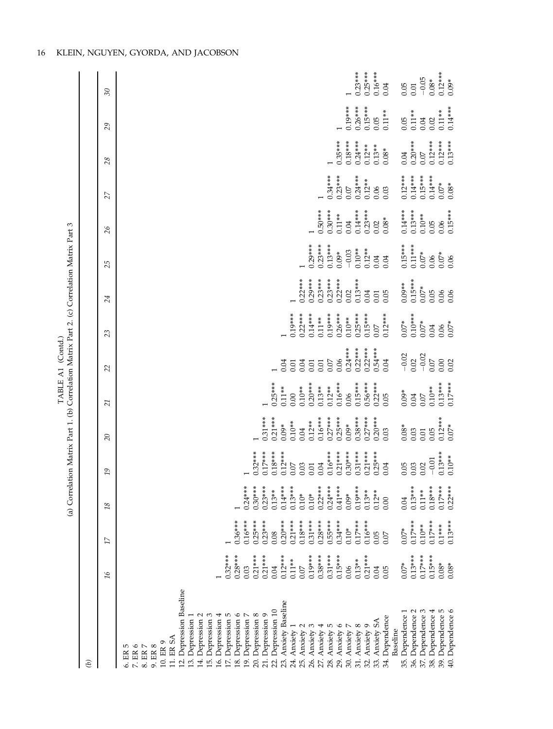|                                                                                             |               | $30\,$                   | $0.23***$<br>$0.16***$<br>$0.12***$<br>$0.25***$<br>$-0.05$<br>$0.08*$<br>$0.09*$<br>0.05<br>0.04<br>0.01                                                                                                                                                                                                                                                                                                                                                                                                                                                           |
|---------------------------------------------------------------------------------------------|---------------|--------------------------|---------------------------------------------------------------------------------------------------------------------------------------------------------------------------------------------------------------------------------------------------------------------------------------------------------------------------------------------------------------------------------------------------------------------------------------------------------------------------------------------------------------------------------------------------------------------|
|                                                                                             |               |                          | $0.19***$<br>$0.26***$<br>$0.15***$<br>$0.14***$                                                                                                                                                                                                                                                                                                                                                                                                                                                                                                                    |
|                                                                                             |               | 29                       | $0.11**$<br>$0.11***$<br>$0.11**$<br>0.05<br>0.05<br>0.04<br>0.02                                                                                                                                                                                                                                                                                                                                                                                                                                                                                                   |
|                                                                                             |               | 28                       | $0.18***$<br>$0.20***$<br>$0.12***$<br>$0.12***$<br>$0.35***$<br>$0.24***$<br>$0.13***$<br>$0.12***$<br>$0.13***$<br>$0.08*$<br>$0.07\,$<br>0.04                                                                                                                                                                                                                                                                                                                                                                                                                    |
|                                                                                             |               | 27                       | $0.34***$<br>$0.23***$<br>$0.24***$<br>$0.14***$<br>$0.15***$<br>$0.14***$<br>$0.12***$<br>$0.12***$<br>$0.07*$<br>$0.08*$<br>$0.07\,$<br>0.06<br>0.03                                                                                                                                                                                                                                                                                                                                                                                                              |
|                                                                                             |               | $\delta$                 | $0.14***$<br>$0.50***$<br>$0.30***$<br>$0.23***$<br>$0.14***$<br>$0.13***$<br>$0.15***$<br>$0.11**$<br>$0.10**$<br>$0.08*$<br>0.06<br>0.04<br>0.02<br>0.05                                                                                                                                                                                                                                                                                                                                                                                                          |
|                                                                                             |               | 25                       | $0.29***$<br>$0.23***$<br>$0.13***$<br>$0.15***$<br>$0.11***$<br>$0.10***$<br>$0.12***$<br>$-0.03$<br>$0.09*$<br>$0.07*$<br>$0.07*$<br>0.06<br>0.04<br>0.04<br>0.06                                                                                                                                                                                                                                                                                                                                                                                                 |
|                                                                                             |               | 24                       | $0.29***$<br>$0.23***$<br>$0.22***$<br>$0.13***$<br>$0.15***$<br>$0.22***$<br>$0.23***$<br>$0.09**$<br>$0.07*$<br>0.02<br>0.05<br>0.06<br>0.04<br>0.05<br>0.06<br>0.01                                                                                                                                                                                                                                                                                                                                                                                              |
|                                                                                             |               | 23                       | $0.22***$<br>$0.14***$<br>$0.19***$<br>$0.26***$<br>$0.25***$<br>$0.15***$<br>$0.10***$<br>$0.19***$<br>$0.12***$<br>$0.11**$<br>$0.10**$<br>$0.07*$<br>$0.07*$<br>$0.07*$<br>$0.07$<br>0.04<br>0.06                                                                                                                                                                                                                                                                                                                                                                |
|                                                                                             |               | 22                       | $0.24***$<br>$0.22***$<br>$0.22***$<br>$0.54***$<br>$-0.02$<br>$-0.02$<br>0.02<br>0.06<br>$0.07\,$<br>0.04<br>$0.07\,$<br>0.04<br>0.04<br>0.00<br>0.02<br>0.01<br>0.01<br>0.01                                                                                                                                                                                                                                                                                                                                                                                      |
| TABLE A1 (Contd.)                                                                           |               | 21                       | $0.25***$<br>$0.16***$<br>$0.20***$<br>$0.15***$<br>$0.56***$<br>$0.22***$<br>$0.13***$<br>$0.17***$<br>$0.10***$<br>$0.12***$<br>$0.11***$<br>$0.13**$<br>$0.10**$<br>$0.09*$<br>0.00<br>0.06<br>$0.07$<br>0.05<br>0.04                                                                                                                                                                                                                                                                                                                                            |
|                                                                                             |               |                          |                                                                                                                                                                                                                                                                                                                                                                                                                                                                                                                                                                     |
|                                                                                             |               | $\overline{c}$           | $0.31***$<br>$0.21***$<br>$0.16***$<br>$0.27***$<br>$0.25***$<br>$0.38***$<br>$0.12***$<br>$0.27***$<br>$0.20***$<br>$0.10**$<br>$0.12***$<br>$0.09*$<br>$0.09*$<br>$0.08*$<br>$0.07*$<br>0.04<br>0.03<br>0.03<br>0.05<br>0.01                                                                                                                                                                                                                                                                                                                                      |
| (a) Correlation Matrix Part 1. (b) Correlation Matrix Part 2. (c) Correlation Matrix Part 3 |               | 19                       | $0.16***$<br>$0.21***$<br>$0.32***$<br>$0.17***$<br>$0.18***$<br>$0.30***$<br>$0.31***$<br>$0.21***$<br>$0.25***$<br>$0.13***$<br>$0.12***$<br>$0.10**$<br>$-0.01$<br>0.03<br>0.04<br>0.04<br>0.05<br>0.03<br>0.02<br>0.07<br>0.01                                                                                                                                                                                                                                                                                                                                  |
|                                                                                             |               | 18                       | $0.24***$<br>$0.30***$<br>$0.23***$<br>$0.14***$<br>$0.13***$<br>$0.22***$<br>$0.24***$<br>$0.41***$<br>$0.19***$<br>$0.13***$<br>$0.18***$<br>$0.17***$<br>$0.22***$<br>$0.13**$<br>$0.11***$<br>$0.13**$<br>$0.12***$<br>$0.09*$<br>$0.10*$<br>$0.10*$<br>0.04<br>0.00                                                                                                                                                                                                                                                                                            |
|                                                                                             |               | $\overline{\mathcal{U}}$ | $0.36***$<br>$0.16***$<br>$0.25***$<br>$0.23***$<br>$0.20***$<br>$0.21***$<br>$0.18***$<br>$0.55***$<br>$0.34***$<br>$0.17***$<br>$0.16***$<br>$0.17***$<br>$0.31***$<br>$0.28***$<br>$0.17***$<br>$0.13***$<br>$0.10**$<br>$0.1***$<br>$0.10*$<br>$0.07*$<br>0.08<br>0.05<br>0.07                                                                                                                                                                                                                                                                                  |
|                                                                                             |               | $\overline{16}$          | $0.21***$<br>$0.21***$<br>$0.19***$<br>$0.15***$<br>$0.13***$<br>$0.17***$<br>$0.15***$<br>$0.32***$<br>$0.28***$<br>$0.12***$<br>$0.38***$<br>$0.31***$<br>$0.21***$<br>$0.11**$<br>$0.13**$<br>$0.07*$<br>$0.08*$<br>$0.08*$<br>0.03<br>0.06<br>0.04<br>$0.07$<br>0.05<br>0.04                                                                                                                                                                                                                                                                                    |
|                                                                                             |               |                          | 12. Depression Baseline<br>Anxiety Baseline<br>Depression 10<br>37. Dependence 3<br>38. Dependence 4<br>IJ<br>40. Dependence 6<br>36. Dependence 2<br>Dependence 1<br>18. Depression 6<br>20. Depression 8<br>21. Depression 9<br>14. Depression 2<br>16. Depression 4<br>17. Depression 5<br>39. Dependence<br>13. Depression 1<br>19. Depression 7<br>Dependence<br>15. Depression<br>Anxiety SA<br>29. Anxiety 6<br>31. Anxiety 8<br>32. Anxiety 9<br>25. Anxiety 2<br>26. Anxiety 3<br>27. Anxiety 4<br>Anxiety 5<br>24. Anxiety 1<br>30. Anxiety 7<br>Baseline |
|                                                                                             | $\mathcal{L}$ |                          | 11. ER SA<br>10. ER 9<br>6. ER 5<br>7. ER 6<br>ER 5<br>$8.$ ER $7$<br>9. ER 8<br>23.<br>33.<br>28.<br>35.<br>22.<br>34.                                                                                                                                                                                                                                                                                                                                                                                                                                             |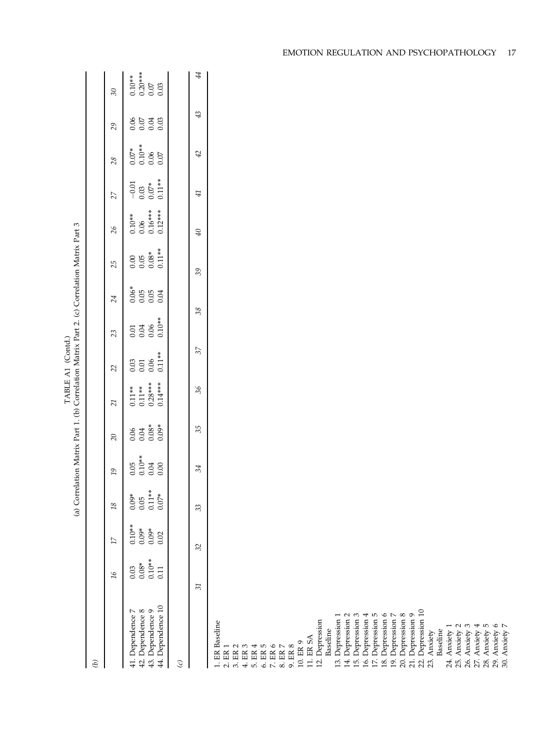|                                                                                                                                                                                                                                                                                         |                                     |                                        |                                        |                                     |                                    |                                                  | TABLE A1 (Contd.)                |                                  |                         | (a) Correlation Matrix Part 1. (b) Correlation Matrix Part 2. (c) Correlation Matrix Part 3 |                                              |                                        |                                                                    |                                  |                                           |
|-----------------------------------------------------------------------------------------------------------------------------------------------------------------------------------------------------------------------------------------------------------------------------------------|-------------------------------------|----------------------------------------|----------------------------------------|-------------------------------------|------------------------------------|--------------------------------------------------|----------------------------------|----------------------------------|-------------------------|---------------------------------------------------------------------------------------------|----------------------------------------------|----------------------------------------|--------------------------------------------------------------------|----------------------------------|-------------------------------------------|
| $\left( q\right)$                                                                                                                                                                                                                                                                       |                                     |                                        |                                        |                                     |                                    |                                                  |                                  |                                  |                         |                                                                                             |                                              |                                        |                                                                    |                                  |                                           |
|                                                                                                                                                                                                                                                                                         | $\overline{16}$                     | $\overline{\mathcal{U}}$               | $18\,$                                 | $19\,$                              | $\overline{c}$                     | 21                                               | 22                               | 23                               | 24                      | 25                                                                                          | $\delta$                                     | 27                                     | 28                                                                 | 29                               | $30\,$                                    |
| 44. Dependence 10<br>43. Dependence 9<br>41. Dependence 7<br>42. Dependence 8                                                                                                                                                                                                           | $0.10**$<br>$0.08*$<br>0.03<br>0.11 | $0.10**$<br>$0.09*$<br>$0.09*$<br>0.02 | $0.11**$<br>$0.07*$<br>$0.09*$<br>0.05 | $0.10***$<br>0.05<br>0.04<br>$0.00$ | $0.08*$<br>$0.09*$<br>0.06<br>0.04 | $0.28***$<br>$0.14***$<br>$0.11***$<br>$0.11***$ | $0.11**$<br>0.06<br>0.03<br>0.01 | $0.10**$<br>0.06<br>0.04<br>0.01 | $0.06*$<br>0.05<br>0.04 | $0.11**$<br>$0.08*$<br>0.00<br>0.05                                                         | $0.16***$<br>$0.12***$<br>$0.10**$<br>$0.06$ | $0.11**$<br>$-0.01$<br>$0.07*$<br>0.03 | $0.10**$<br>$0.07*$<br>$\begin{array}{c} 0.06 \\ 0.07 \end{array}$ | 0.06<br>$0.07\,$<br>0.04<br>0.03 | $0.20***$<br>$0.10**$<br>0.03<br>$0.07\,$ |
| $\odot$                                                                                                                                                                                                                                                                                 |                                     |                                        |                                        |                                     |                                    |                                                  |                                  |                                  |                         |                                                                                             |                                              |                                        |                                                                    |                                  |                                           |
|                                                                                                                                                                                                                                                                                         | $\overline{31}$                     | 32                                     | 33                                     | 34                                  | 35                                 | 36                                               | 37                               | 38                               |                         | 39                                                                                          | $\mathcal{P}$                                | 41                                     | 42                                                                 | 43                               | 44                                        |
| 1. ER Baseline                                                                                                                                                                                                                                                                          |                                     |                                        |                                        |                                     |                                    |                                                  |                                  |                                  |                         |                                                                                             |                                              |                                        |                                                                    |                                  |                                           |
| $\begin{array}{l} 2.511 \\ 2.5111 \\ 2.51111 \\ 2.51111 \\ 2.51111 \\ 2.51111 \\ 2.51111 \\ 2.51111 \\ 2.51111 \\ 2.51111 \\ 2.51111 \\ 2.51111 \\ 2.51111 \\ 2.51111 \\ 2.51111 \\ 2.51111 \\ 2.51111 \\ 2.51111 \\ 2.51111 \\ 2.51111 \\ 2.51111 \\ 2.51111 \\ 2.51111 \\ 2.51111 \\$ |                                     |                                        |                                        |                                     |                                    |                                                  |                                  |                                  |                         |                                                                                             |                                              |                                        |                                                                    |                                  |                                           |
|                                                                                                                                                                                                                                                                                         |                                     |                                        |                                        |                                     |                                    |                                                  |                                  |                                  |                         |                                                                                             |                                              |                                        |                                                                    |                                  |                                           |
|                                                                                                                                                                                                                                                                                         |                                     |                                        |                                        |                                     |                                    |                                                  |                                  |                                  |                         |                                                                                             |                                              |                                        |                                                                    |                                  |                                           |
|                                                                                                                                                                                                                                                                                         |                                     |                                        |                                        |                                     |                                    |                                                  |                                  |                                  |                         |                                                                                             |                                              |                                        |                                                                    |                                  |                                           |
| 10. ER 9<br>9. ER 8                                                                                                                                                                                                                                                                     |                                     |                                        |                                        |                                     |                                    |                                                  |                                  |                                  |                         |                                                                                             |                                              |                                        |                                                                    |                                  |                                           |
| 11. ER SA                                                                                                                                                                                                                                                                               |                                     |                                        |                                        |                                     |                                    |                                                  |                                  |                                  |                         |                                                                                             |                                              |                                        |                                                                    |                                  |                                           |
| 12. Depression                                                                                                                                                                                                                                                                          |                                     |                                        |                                        |                                     |                                    |                                                  |                                  |                                  |                         |                                                                                             |                                              |                                        |                                                                    |                                  |                                           |
| Depression 1<br>Baseline<br>$\overline{13}$ .                                                                                                                                                                                                                                           |                                     |                                        |                                        |                                     |                                    |                                                  |                                  |                                  |                         |                                                                                             |                                              |                                        |                                                                    |                                  |                                           |
| 14. Depression 2                                                                                                                                                                                                                                                                        |                                     |                                        |                                        |                                     |                                    |                                                  |                                  |                                  |                         |                                                                                             |                                              |                                        |                                                                    |                                  |                                           |
| 15. Depression 3                                                                                                                                                                                                                                                                        |                                     |                                        |                                        |                                     |                                    |                                                  |                                  |                                  |                         |                                                                                             |                                              |                                        |                                                                    |                                  |                                           |
| 16. Depression 4<br>17. Depression 5                                                                                                                                                                                                                                                    |                                     |                                        |                                        |                                     |                                    |                                                  |                                  |                                  |                         |                                                                                             |                                              |                                        |                                                                    |                                  |                                           |
| 18. Depression 6                                                                                                                                                                                                                                                                        |                                     |                                        |                                        |                                     |                                    |                                                  |                                  |                                  |                         |                                                                                             |                                              |                                        |                                                                    |                                  |                                           |
| 19. Depression 7                                                                                                                                                                                                                                                                        |                                     |                                        |                                        |                                     |                                    |                                                  |                                  |                                  |                         |                                                                                             |                                              |                                        |                                                                    |                                  |                                           |
| 20. Depression 8                                                                                                                                                                                                                                                                        |                                     |                                        |                                        |                                     |                                    |                                                  |                                  |                                  |                         |                                                                                             |                                              |                                        |                                                                    |                                  |                                           |
| 22. Depression 10<br>21. Depression 9                                                                                                                                                                                                                                                   |                                     |                                        |                                        |                                     |                                    |                                                  |                                  |                                  |                         |                                                                                             |                                              |                                        |                                                                    |                                  |                                           |
| Anxiety<br>23.                                                                                                                                                                                                                                                                          |                                     |                                        |                                        |                                     |                                    |                                                  |                                  |                                  |                         |                                                                                             |                                              |                                        |                                                                    |                                  |                                           |
| Baseline                                                                                                                                                                                                                                                                                |                                     |                                        |                                        |                                     |                                    |                                                  |                                  |                                  |                         |                                                                                             |                                              |                                        |                                                                    |                                  |                                           |
| Anxiety 1<br>24.                                                                                                                                                                                                                                                                        |                                     |                                        |                                        |                                     |                                    |                                                  |                                  |                                  |                         |                                                                                             |                                              |                                        |                                                                    |                                  |                                           |
| 25. Anxiety 2                                                                                                                                                                                                                                                                           |                                     |                                        |                                        |                                     |                                    |                                                  |                                  |                                  |                         |                                                                                             |                                              |                                        |                                                                    |                                  |                                           |
| 26. Anxiety 3                                                                                                                                                                                                                                                                           |                                     |                                        |                                        |                                     |                                    |                                                  |                                  |                                  |                         |                                                                                             |                                              |                                        |                                                                    |                                  |                                           |
| 28. Anxiety 5<br>27. Anxiety 4                                                                                                                                                                                                                                                          |                                     |                                        |                                        |                                     |                                    |                                                  |                                  |                                  |                         |                                                                                             |                                              |                                        |                                                                    |                                  |                                           |
|                                                                                                                                                                                                                                                                                         |                                     |                                        |                                        |                                     |                                    |                                                  |                                  |                                  |                         |                                                                                             |                                              |                                        |                                                                    |                                  |                                           |
| 29. Anxiety 6<br>30. Anxiety $7$                                                                                                                                                                                                                                                        |                                     |                                        |                                        |                                     |                                    |                                                  |                                  |                                  |                         |                                                                                             |                                              |                                        |                                                                    |                                  |                                           |

EMOTION REGULATION AND PSYCHOPATHOLOGY 17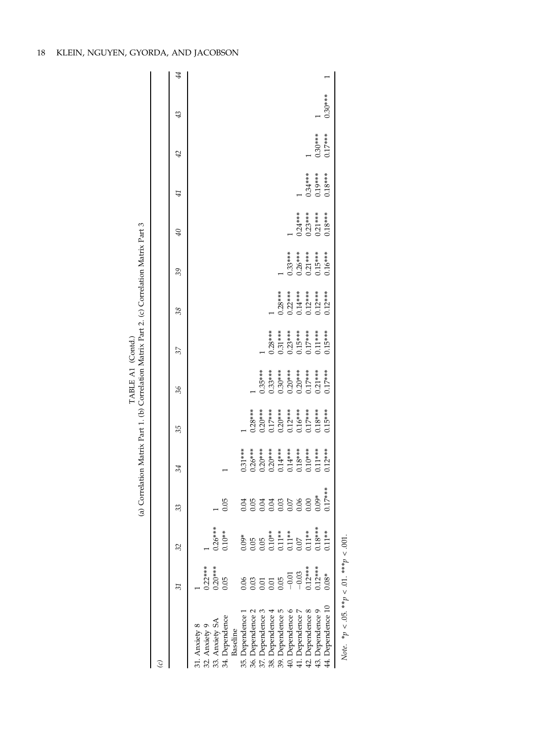|                                                      |                                                          |                                                                                                                                                                               |           | (a) Correlation Matrix Part 1. (b) Correlation Matrix Part 2. (c) Correlation Matrix Part 3 |                        | TABLE A1 (Contd.) |           |                                     |                        |           |           |           |           |    |
|------------------------------------------------------|----------------------------------------------------------|-------------------------------------------------------------------------------------------------------------------------------------------------------------------------------|-----------|---------------------------------------------------------------------------------------------|------------------------|-------------------|-----------|-------------------------------------|------------------------|-----------|-----------|-----------|-----------|----|
|                                                      |                                                          |                                                                                                                                                                               |           |                                                                                             |                        |                   |           |                                     |                        |           |           |           |           |    |
|                                                      | 31                                                       | 32                                                                                                                                                                            | 33        | 34                                                                                          | 35                     | 36                | 37        | 38                                  | 39                     | $\theta$  | 41        | 42        | 43        | 44 |
| 31. Anxiety 8                                        |                                                          |                                                                                                                                                                               |           |                                                                                             |                        |                   |           |                                     |                        |           |           |           |           |    |
| 32. Anxiety 9                                        | $0.22***$                                                |                                                                                                                                                                               |           |                                                                                             |                        |                   |           |                                     |                        |           |           |           |           |    |
| 33. Anxiety SA                                       | $0.20***$                                                | $0.26***$                                                                                                                                                                     |           |                                                                                             |                        |                   |           |                                     |                        |           |           |           |           |    |
| 34. Dependence<br>Baseline                           | 0.05                                                     | $0.10**$                                                                                                                                                                      | 0.05      |                                                                                             |                        |                   |           |                                     |                        |           |           |           |           |    |
| 35. Dependence                                       |                                                          |                                                                                                                                                                               |           | $0.31***$                                                                                   |                        |                   |           |                                     |                        |           |           |           |           |    |
| 36. Dependence 2                                     |                                                          |                                                                                                                                                                               |           | $0.26***$                                                                                   | $0.28***$              |                   |           |                                     |                        |           |           |           |           |    |
| 37. Dependence 3                                     |                                                          |                                                                                                                                                                               |           | $0.20***$                                                                                   |                        | $0.35***$         |           |                                     |                        |           |           |           |           |    |
| 38. Dependence 4                                     | $0.05$<br>$0.01$<br>$0.01$<br>$0.05$<br>$0.01$<br>$0.01$ | $\begin{array}{c} 0.09^{*}\\ 0.05\\ 0.05\\ 0.10^{***}\\ 0.11^{***}\\ 0.11^{***}\\ 0.07\\ 0.07\\ 0.18^{***}\\ 0.18^{***}\\ 0.18^{***}\\ 0.18^{***}\\ 0.18^{***}\\ \end{array}$ |           | $0.20***$<br>$0.14***$<br>$0.14***$                                                         | $0.20***$<br>$0.17***$ | $0.33***$         | $0.28***$ |                                     |                        |           |           |           |           |    |
| 39. Dependence 5                                     |                                                          |                                                                                                                                                                               |           |                                                                                             | $0.20***$              | $0.30***$         | $0.31***$ | $0.28***$                           |                        |           |           |           |           |    |
| 40. Dependence 6                                     |                                                          |                                                                                                                                                                               |           |                                                                                             | $0.12***$              | $0.20***$         | $0.23***$ | $0.22***$                           | $0.33***$              |           |           |           |           |    |
| 41. Dependence 7                                     | $-0.03$<br>0.12***<br>0.12****                           |                                                                                                                                                                               |           | $0.18***$                                                                                   | $0.16***$              | $0.20***$         | $0.15***$ | $0.14***$<br>$0.12***$<br>$0.12***$ |                        | $0.24***$ |           |           |           |    |
| 42. Dependence 8                                     |                                                          |                                                                                                                                                                               |           | $0.10***$                                                                                   | $0.17***$              |                   | $0.17***$ |                                     | $0.26***$<br>$0.21***$ | $0.23***$ | $0.34***$ |           |           |    |
| 43. Dependence 9                                     |                                                          |                                                                                                                                                                               |           | $0.11***$                                                                                   | $0.18***$              | $0.21***$         | $0.11***$ |                                     | $0.15***$              | $0.21***$ | $0.19***$ | $0.30***$ |           |    |
| 44. Dependence 10                                    | $0.08*$                                                  | $0.11**$                                                                                                                                                                      | $0.17***$ | $0.12***$                                                                                   | $0.15***$              | $0.17***$         | $0.15***$ | $0.12***$                           | $0.16***$              | $0.18***$ | $0.18***$ | $0.17***$ | $0.30***$ |    |
| $N_0$ to $n \lt 0$ 5, $**n \lt 0$ 1, $***n \lt 0$ 01 |                                                          |                                                                                                                                                                               |           |                                                                                             |                        |                   |           |                                     |                        |           |           |           |           |    |

 $p > 001.$ Note.  $* p < .05$ .  $* * p < .01$ .  $* * p < .001$ .  $\vdots$  $\rightarrow$  d.  $\mu \le 0.03$ . ivote.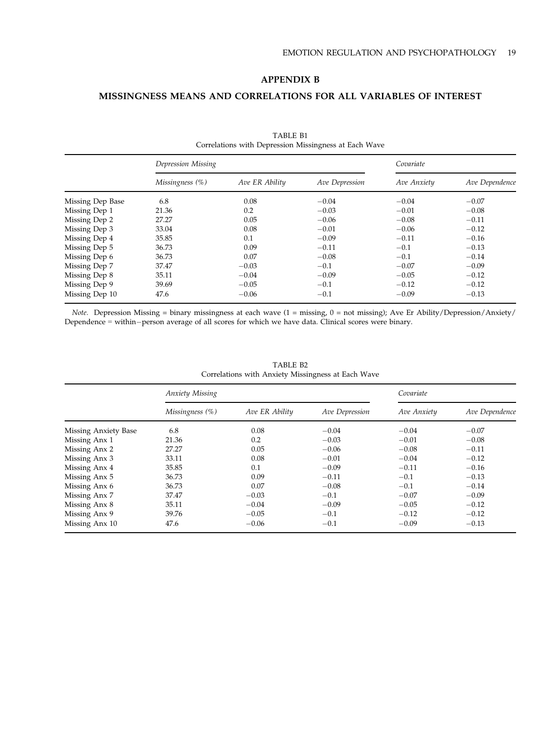# APPENDIX B

# MISSINGNESS MEANS AND CORRELATIONS FOR ALL VARIABLES OF INTEREST

|                  | Depression Missing |                |                | Covariate   |                |
|------------------|--------------------|----------------|----------------|-------------|----------------|
|                  | Missingness (%)    | Ave ER Ability | Ave Depression | Ave Anxiety | Ave Dependence |
| Missing Dep Base | 6.8                | 0.08           | $-0.04$        | $-0.04$     | $-0.07$        |
| Missing Dep 1    | 21.36              | 0.2            | $-0.03$        | $-0.01$     | $-0.08$        |
| Missing Dep 2    | 27.27              | 0.05           | $-0.06$        | $-0.08$     | $-0.11$        |
| Missing Dep 3    | 33.04              | 0.08           | $-0.01$        | $-0.06$     | $-0.12$        |
| Missing Dep 4    | 35.85              | 0.1            | $-0.09$        | $-0.11$     | $-0.16$        |
| Missing Dep 5    | 36.73              | 0.09           | $-0.11$        | $-0.1$      | $-0.13$        |
| Missing Dep 6    | 36.73              | 0.07           | $-0.08$        | $-0.1$      | $-0.14$        |
| Missing Dep 7    | 37.47              | $-0.03$        | $-0.1$         | $-0.07$     | $-0.09$        |
| Missing Dep 8    | 35.11              | $-0.04$        | $-0.09$        | $-0.05$     | $-0.12$        |
| Missing Dep 9    | 39.69              | $-0.05$        | $-0.1$         | $-0.12$     | $-0.12$        |
| Missing Dep 10   | 47.6               | $-0.06$        | $-0.1$         | $-0.09$     | $-0.13$        |

TABLE B1 Correlations with Depression Missingness at Each Wave

Note. Depression Missing = binary missingness at each wave (1 = missing, 0 = not missing); Ave Er Ability/Depression/Anxiety/ Dependence = within-person average of all scores for which we have data. Clinical scores were binary.

|                      | Anxiety Missing |                |                | Covariate   |                |
|----------------------|-----------------|----------------|----------------|-------------|----------------|
|                      | Missingness (%) | Ave ER Ability | Ave Depression | Ave Anxiety | Ave Dependence |
| Missing Anxiety Base | 6.8             | 0.08           | $-0.04$        | $-0.04$     | $-0.07$        |
| Missing Anx 1        | 21.36           | 0.2            | $-0.03$        | $-0.01$     | $-0.08$        |
| Missing Anx 2        | 27.27           | 0.05           | $-0.06$        | $-0.08$     | $-0.11$        |
| Missing Anx 3        | 33.11           | 0.08           | $-0.01$        | $-0.04$     | $-0.12$        |
| Missing Anx 4        | 35.85           | 0.1            | $-0.09$        | $-0.11$     | $-0.16$        |
| Missing Anx 5        | 36.73           | 0.09           | $-0.11$        | $-0.1$      | $-0.13$        |
| Missing Anx 6        | 36.73           | 0.07           | $-0.08$        | $-0.1$      | $-0.14$        |
| Missing Anx 7        | 37.47           | $-0.03$        | $-0.1$         | $-0.07$     | $-0.09$        |
| Missing Anx 8        | 35.11           | $-0.04$        | $-0.09$        | $-0.05$     | $-0.12$        |
| Missing Anx 9        | 39.76           | $-0.05$        | $-0.1$         | $-0.12$     | $-0.12$        |
| Missing Anx 10       | 47.6            | $-0.06$        | $-0.1$         | $-0.09$     | $-0.13$        |

TABLE B2 Correlations with Anxiety Missingness at Each Wave